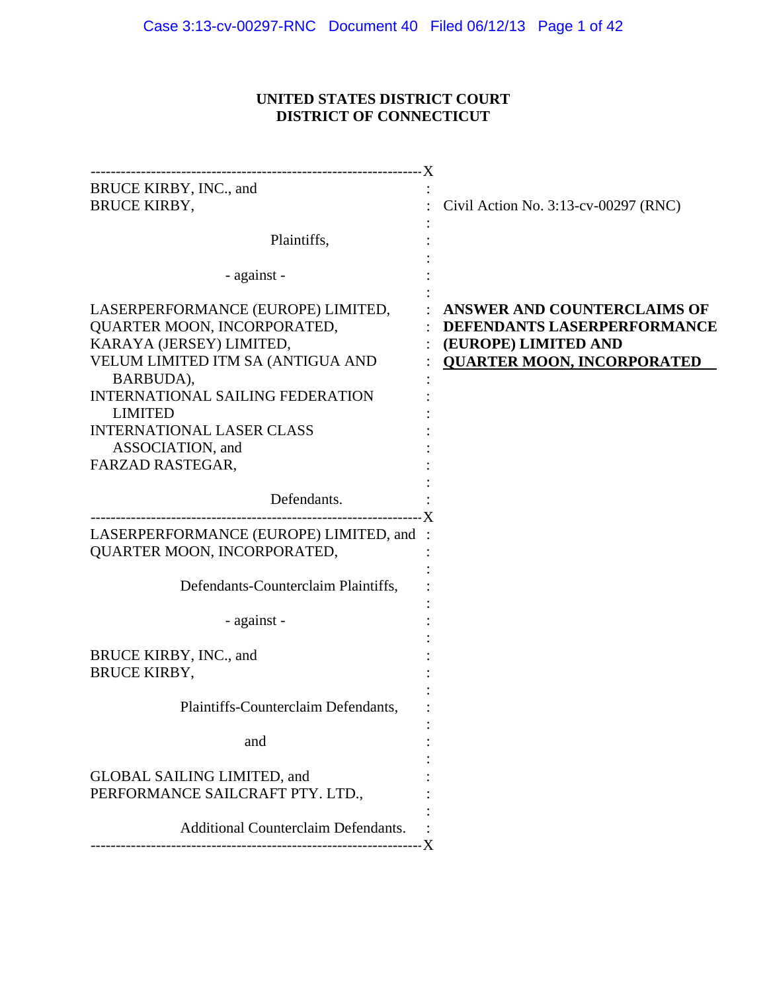# **UNITED STATES DISTRICT COURT DISTRICT OF CONNECTICUT**

| BRUCE KIRBY, INC., and<br><b>BRUCE KIRBY,</b>                                                                                                                                                                                                                                            | Civil Action No. 3:13-cv-00297 (RNC)                                                                                    |
|------------------------------------------------------------------------------------------------------------------------------------------------------------------------------------------------------------------------------------------------------------------------------------------|-------------------------------------------------------------------------------------------------------------------------|
| Plaintiffs,                                                                                                                                                                                                                                                                              |                                                                                                                         |
| - against -                                                                                                                                                                                                                                                                              |                                                                                                                         |
| LASERPERFORMANCE (EUROPE) LIMITED,<br>QUARTER MOON, INCORPORATED,<br>KARAYA (JERSEY) LIMITED,<br>VELUM LIMITED ITM SA (ANTIGUA AND<br>BARBUDA),<br><b>INTERNATIONAL SAILING FEDERATION</b><br><b>LIMITED</b><br><b>INTERNATIONAL LASER CLASS</b><br>ASSOCIATION, and<br>FARZAD RASTEGAR, | ANSWER AND COUNTERCLAIMS OF<br>DEFENDANTS LASERPERFORMANCE<br>(EUROPE) LIMITED AND<br><b>QUARTER MOON, INCORPORATED</b> |
| Defendants.                                                                                                                                                                                                                                                                              |                                                                                                                         |
| LASERPERFORMANCE (EUROPE) LIMITED, and :<br>QUARTER MOON, INCORPORATED,                                                                                                                                                                                                                  |                                                                                                                         |
| Defendants-Counterclaim Plaintiffs,                                                                                                                                                                                                                                                      |                                                                                                                         |
| - against -                                                                                                                                                                                                                                                                              |                                                                                                                         |
| BRUCE KIRBY, INC., and<br><b>BRUCE KIRBY,</b>                                                                                                                                                                                                                                            |                                                                                                                         |
| Plaintiffs-Counterclaim Defendants,                                                                                                                                                                                                                                                      |                                                                                                                         |
| and                                                                                                                                                                                                                                                                                      |                                                                                                                         |
| <b>GLOBAL SAILING LIMITED, and</b><br>PERFORMANCE SAILCRAFT PTY. LTD.,                                                                                                                                                                                                                   |                                                                                                                         |
| <b>Additional Counterclaim Defendants.</b>                                                                                                                                                                                                                                               |                                                                                                                         |
|                                                                                                                                                                                                                                                                                          |                                                                                                                         |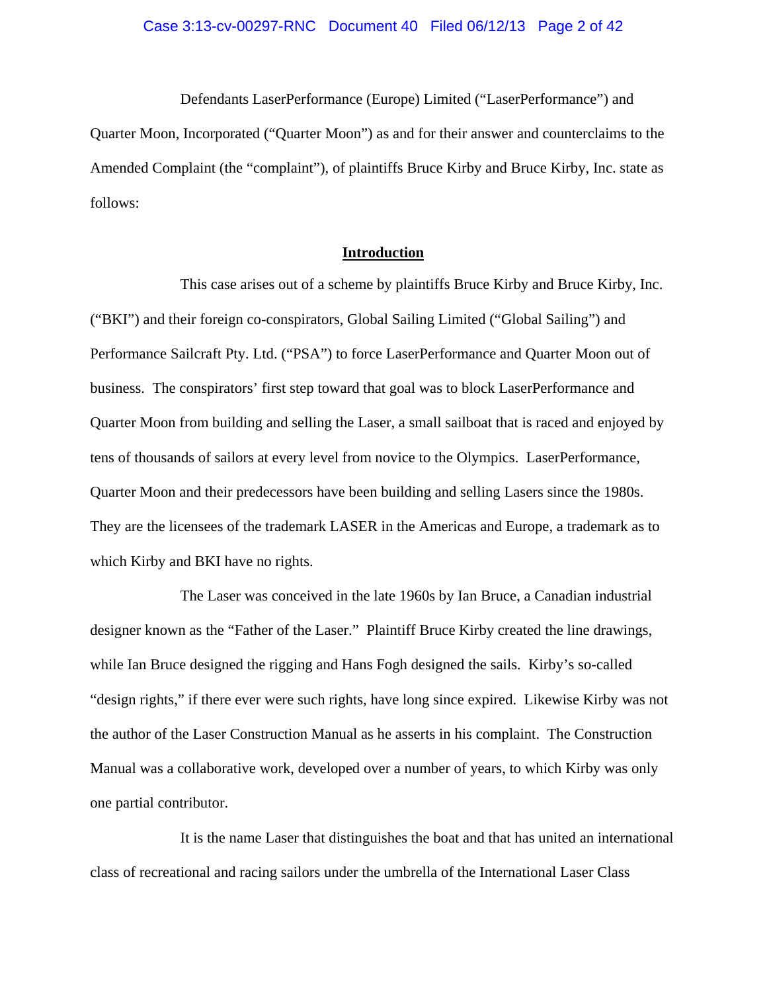Defendants LaserPerformance (Europe) Limited ("LaserPerformance") and Quarter Moon, Incorporated ("Quarter Moon") as and for their answer and counterclaims to the Amended Complaint (the "complaint"), of plaintiffs Bruce Kirby and Bruce Kirby, Inc. state as follows:

# **Introduction**

This case arises out of a scheme by plaintiffs Bruce Kirby and Bruce Kirby, Inc. ("BKI") and their foreign co-conspirators, Global Sailing Limited ("Global Sailing") and Performance Sailcraft Pty. Ltd. ("PSA") to force LaserPerformance and Quarter Moon out of business. The conspirators' first step toward that goal was to block LaserPerformance and Quarter Moon from building and selling the Laser, a small sailboat that is raced and enjoyed by tens of thousands of sailors at every level from novice to the Olympics. LaserPerformance, Quarter Moon and their predecessors have been building and selling Lasers since the 1980s. They are the licensees of the trademark LASER in the Americas and Europe, a trademark as to which Kirby and BKI have no rights.

The Laser was conceived in the late 1960s by Ian Bruce, a Canadian industrial designer known as the "Father of the Laser." Plaintiff Bruce Kirby created the line drawings, while Ian Bruce designed the rigging and Hans Fogh designed the sails. Kirby's so-called "design rights," if there ever were such rights, have long since expired. Likewise Kirby was not the author of the Laser Construction Manual as he asserts in his complaint. The Construction Manual was a collaborative work, developed over a number of years, to which Kirby was only one partial contributor.

It is the name Laser that distinguishes the boat and that has united an international class of recreational and racing sailors under the umbrella of the International Laser Class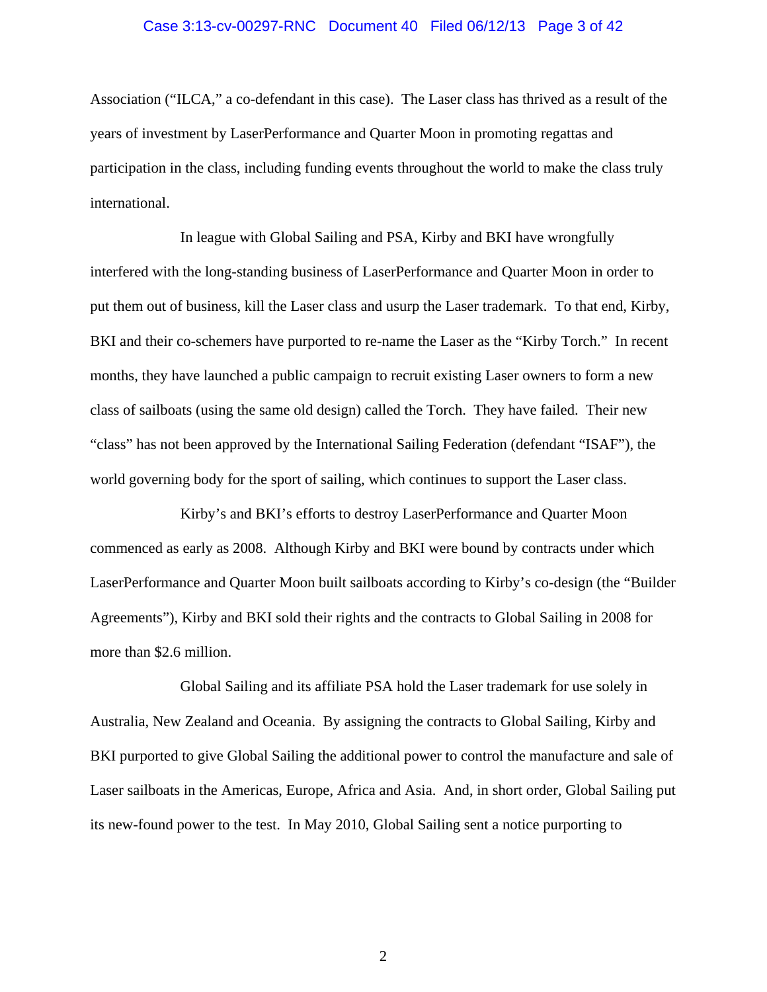## Case 3:13-cv-00297-RNC Document 40 Filed 06/12/13 Page 3 of 42

Association ("ILCA," a co-defendant in this case). The Laser class has thrived as a result of the years of investment by LaserPerformance and Quarter Moon in promoting regattas and participation in the class, including funding events throughout the world to make the class truly international.

In league with Global Sailing and PSA, Kirby and BKI have wrongfully interfered with the long-standing business of LaserPerformance and Quarter Moon in order to put them out of business, kill the Laser class and usurp the Laser trademark. To that end, Kirby, BKI and their co-schemers have purported to re-name the Laser as the "Kirby Torch." In recent months, they have launched a public campaign to recruit existing Laser owners to form a new class of sailboats (using the same old design) called the Torch. They have failed. Their new "class" has not been approved by the International Sailing Federation (defendant "ISAF"), the world governing body for the sport of sailing, which continues to support the Laser class.

Kirby's and BKI's efforts to destroy LaserPerformance and Quarter Moon commenced as early as 2008. Although Kirby and BKI were bound by contracts under which LaserPerformance and Quarter Moon built sailboats according to Kirby's co-design (the "Builder Agreements"), Kirby and BKI sold their rights and the contracts to Global Sailing in 2008 for more than \$2.6 million.

Global Sailing and its affiliate PSA hold the Laser trademark for use solely in Australia, New Zealand and Oceania. By assigning the contracts to Global Sailing, Kirby and BKI purported to give Global Sailing the additional power to control the manufacture and sale of Laser sailboats in the Americas, Europe, Africa and Asia. And, in short order, Global Sailing put its new-found power to the test. In May 2010, Global Sailing sent a notice purporting to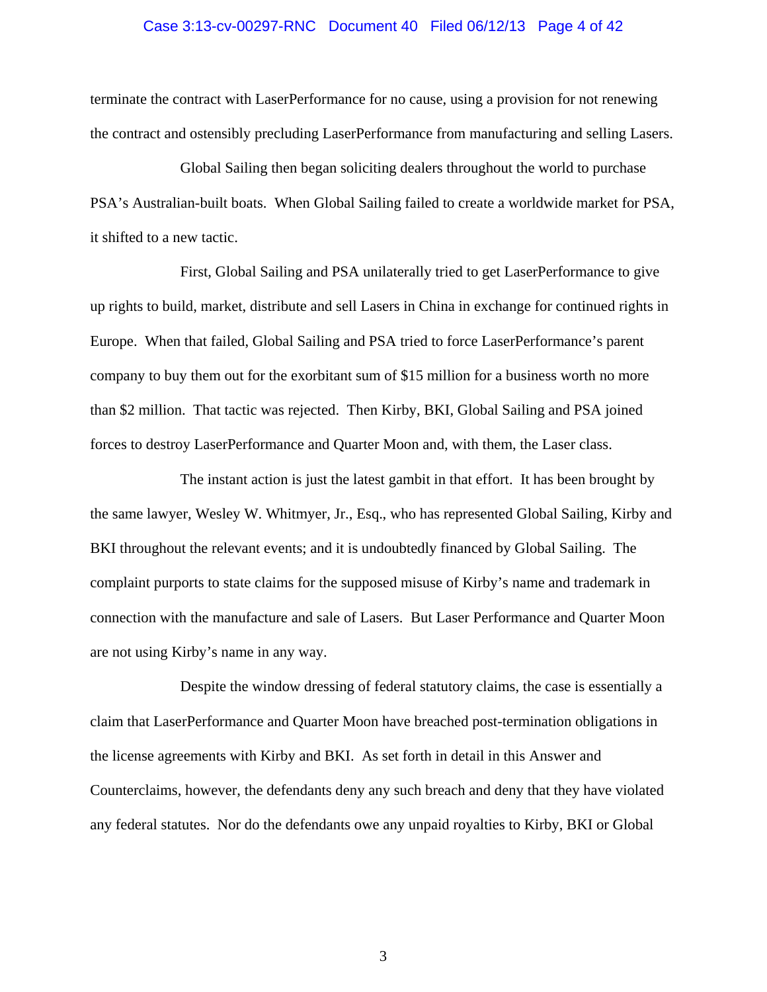#### Case 3:13-cv-00297-RNC Document 40 Filed 06/12/13 Page 4 of 42

terminate the contract with LaserPerformance for no cause, using a provision for not renewing the contract and ostensibly precluding LaserPerformance from manufacturing and selling Lasers.

Global Sailing then began soliciting dealers throughout the world to purchase PSA's Australian-built boats. When Global Sailing failed to create a worldwide market for PSA, it shifted to a new tactic.

First, Global Sailing and PSA unilaterally tried to get LaserPerformance to give up rights to build, market, distribute and sell Lasers in China in exchange for continued rights in Europe. When that failed, Global Sailing and PSA tried to force LaserPerformance's parent company to buy them out for the exorbitant sum of \$15 million for a business worth no more than \$2 million. That tactic was rejected. Then Kirby, BKI, Global Sailing and PSA joined forces to destroy LaserPerformance and Quarter Moon and, with them, the Laser class.

The instant action is just the latest gambit in that effort. It has been brought by the same lawyer, Wesley W. Whitmyer, Jr., Esq., who has represented Global Sailing, Kirby and BKI throughout the relevant events; and it is undoubtedly financed by Global Sailing. The complaint purports to state claims for the supposed misuse of Kirby's name and trademark in connection with the manufacture and sale of Lasers. But Laser Performance and Quarter Moon are not using Kirby's name in any way.

Despite the window dressing of federal statutory claims, the case is essentially a claim that LaserPerformance and Quarter Moon have breached post-termination obligations in the license agreements with Kirby and BKI. As set forth in detail in this Answer and Counterclaims, however, the defendants deny any such breach and deny that they have violated any federal statutes. Nor do the defendants owe any unpaid royalties to Kirby, BKI or Global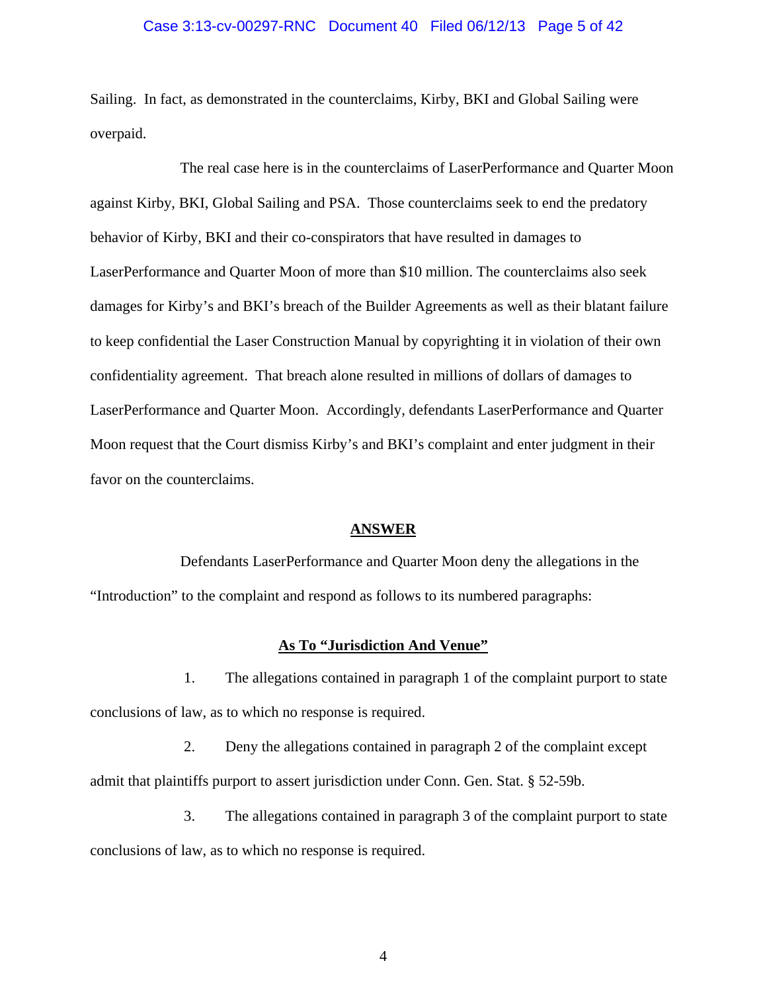#### Case 3:13-cv-00297-RNC Document 40 Filed 06/12/13 Page 5 of 42

Sailing. In fact, as demonstrated in the counterclaims, Kirby, BKI and Global Sailing were overpaid.

The real case here is in the counterclaims of LaserPerformance and Quarter Moon against Kirby, BKI, Global Sailing and PSA. Those counterclaims seek to end the predatory behavior of Kirby, BKI and their co-conspirators that have resulted in damages to LaserPerformance and Quarter Moon of more than \$10 million. The counterclaims also seek damages for Kirby's and BKI's breach of the Builder Agreements as well as their blatant failure to keep confidential the Laser Construction Manual by copyrighting it in violation of their own confidentiality agreement. That breach alone resulted in millions of dollars of damages to LaserPerformance and Quarter Moon. Accordingly, defendants LaserPerformance and Quarter Moon request that the Court dismiss Kirby's and BKI's complaint and enter judgment in their favor on the counterclaims.

#### **ANSWER**

Defendants LaserPerformance and Quarter Moon deny the allegations in the "Introduction" to the complaint and respond as follows to its numbered paragraphs:

## **As To "Jurisdiction And Venue"**

1. The allegations contained in paragraph 1 of the complaint purport to state conclusions of law, as to which no response is required.

2. Deny the allegations contained in paragraph 2 of the complaint except admit that plaintiffs purport to assert jurisdiction under Conn. Gen. Stat. § 52-59b.

3. The allegations contained in paragraph 3 of the complaint purport to state conclusions of law, as to which no response is required.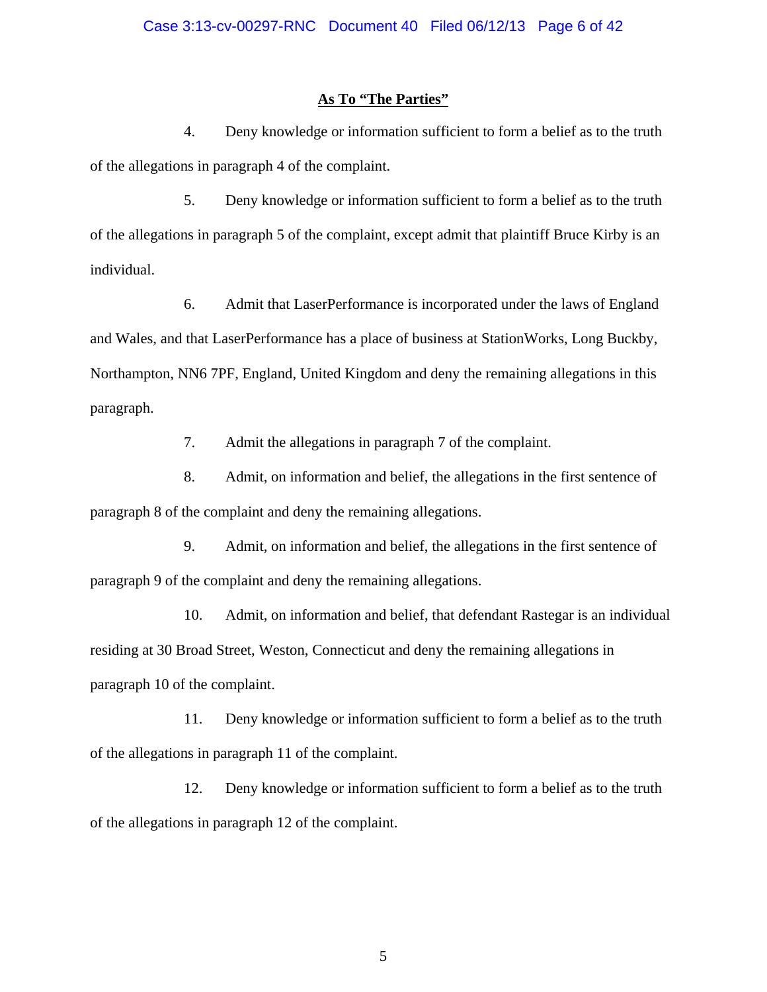### **As To "The Parties"**

4. Deny knowledge or information sufficient to form a belief as to the truth of the allegations in paragraph 4 of the complaint.

5. Deny knowledge or information sufficient to form a belief as to the truth of the allegations in paragraph 5 of the complaint, except admit that plaintiff Bruce Kirby is an individual.

6. Admit that LaserPerformance is incorporated under the laws of England and Wales, and that LaserPerformance has a place of business at StationWorks, Long Buckby, Northampton, NN6 7PF, England, United Kingdom and deny the remaining allegations in this paragraph.

7. Admit the allegations in paragraph 7 of the complaint.

8. Admit, on information and belief, the allegations in the first sentence of paragraph 8 of the complaint and deny the remaining allegations.

9. Admit, on information and belief, the allegations in the first sentence of paragraph 9 of the complaint and deny the remaining allegations.

10. Admit, on information and belief, that defendant Rastegar is an individual residing at 30 Broad Street, Weston, Connecticut and deny the remaining allegations in paragraph 10 of the complaint.

11. Deny knowledge or information sufficient to form a belief as to the truth of the allegations in paragraph 11 of the complaint.

12. Deny knowledge or information sufficient to form a belief as to the truth of the allegations in paragraph 12 of the complaint.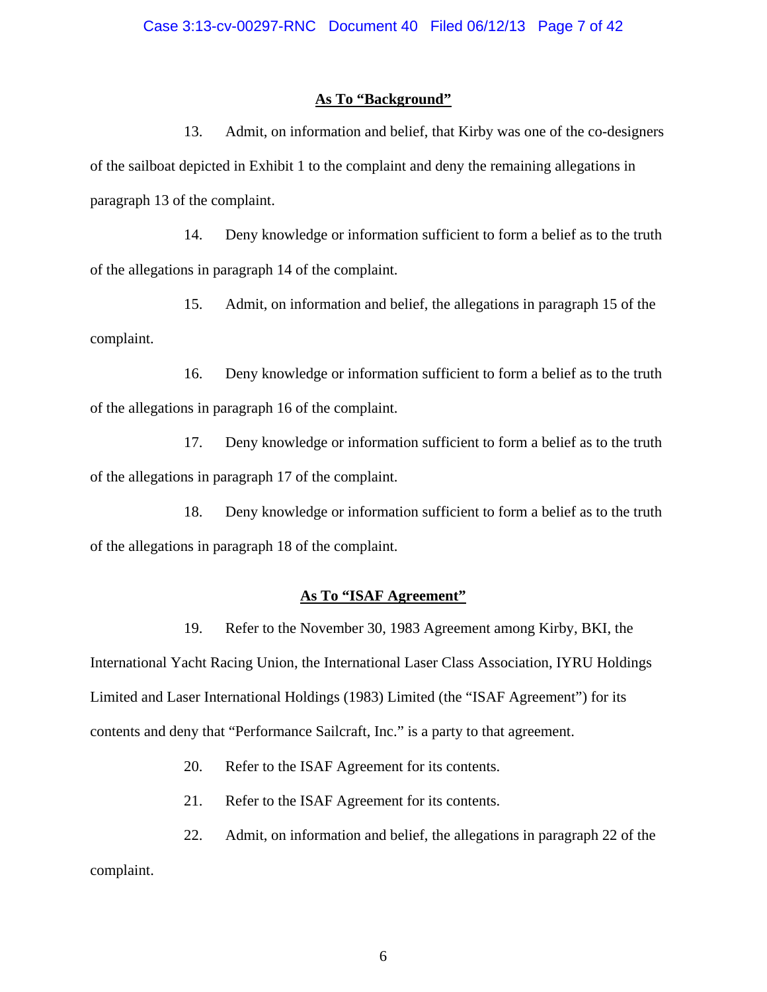## **As To "Background"**

13. Admit, on information and belief, that Kirby was one of the co-designers of the sailboat depicted in Exhibit 1 to the complaint and deny the remaining allegations in paragraph 13 of the complaint.

14. Deny knowledge or information sufficient to form a belief as to the truth of the allegations in paragraph 14 of the complaint.

15. Admit, on information and belief, the allegations in paragraph 15 of the complaint.

16. Deny knowledge or information sufficient to form a belief as to the truth of the allegations in paragraph 16 of the complaint.

17. Deny knowledge or information sufficient to form a belief as to the truth of the allegations in paragraph 17 of the complaint.

18. Deny knowledge or information sufficient to form a belief as to the truth of the allegations in paragraph 18 of the complaint.

# **As To "ISAF Agreement"**

19. Refer to the November 30, 1983 Agreement among Kirby, BKI, the International Yacht Racing Union, the International Laser Class Association, IYRU Holdings Limited and Laser International Holdings (1983) Limited (the "ISAF Agreement") for its contents and deny that "Performance Sailcraft, Inc." is a party to that agreement.

20. Refer to the ISAF Agreement for its contents.

21. Refer to the ISAF Agreement for its contents.

22. Admit, on information and belief, the allegations in paragraph 22 of the

complaint.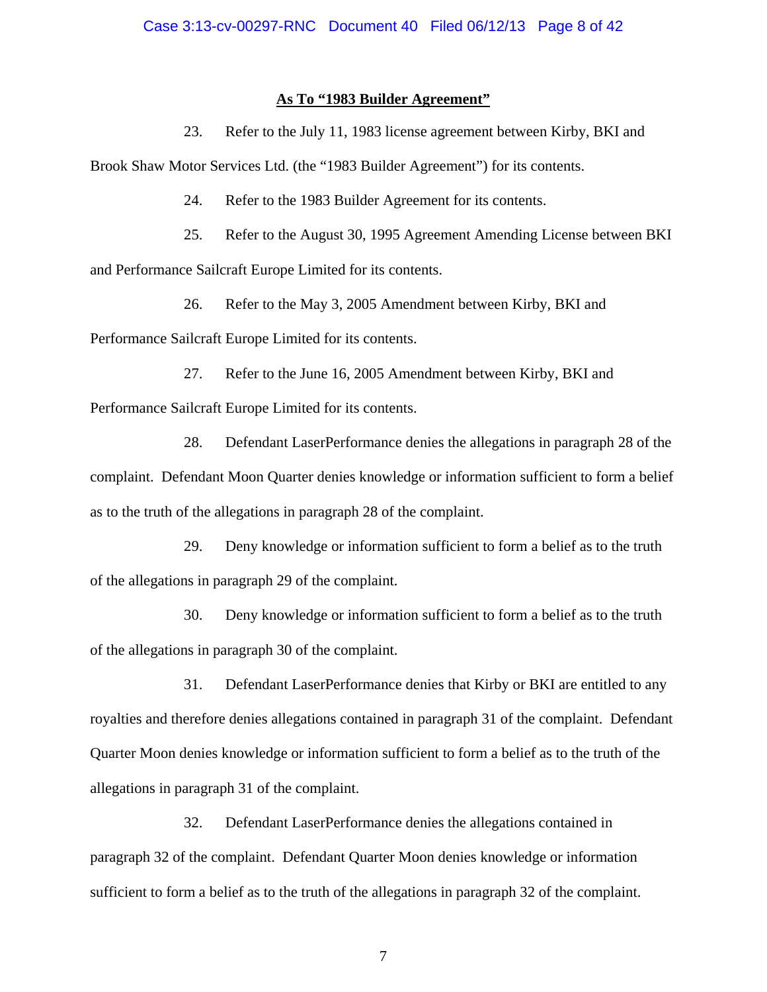## **As To "1983 Builder Agreement"**

23. Refer to the July 11, 1983 license agreement between Kirby, BKI and

Brook Shaw Motor Services Ltd. (the "1983 Builder Agreement") for its contents.

24. Refer to the 1983 Builder Agreement for its contents.

25. Refer to the August 30, 1995 Agreement Amending License between BKI and Performance Sailcraft Europe Limited for its contents.

26. Refer to the May 3, 2005 Amendment between Kirby, BKI and

Performance Sailcraft Europe Limited for its contents.

27. Refer to the June 16, 2005 Amendment between Kirby, BKI and Performance Sailcraft Europe Limited for its contents.

28. Defendant LaserPerformance denies the allegations in paragraph 28 of the complaint. Defendant Moon Quarter denies knowledge or information sufficient to form a belief as to the truth of the allegations in paragraph 28 of the complaint.

29. Deny knowledge or information sufficient to form a belief as to the truth of the allegations in paragraph 29 of the complaint.

30. Deny knowledge or information sufficient to form a belief as to the truth of the allegations in paragraph 30 of the complaint.

31. Defendant LaserPerformance denies that Kirby or BKI are entitled to any royalties and therefore denies allegations contained in paragraph 31 of the complaint. Defendant Quarter Moon denies knowledge or information sufficient to form a belief as to the truth of the allegations in paragraph 31 of the complaint.

32. Defendant LaserPerformance denies the allegations contained in paragraph 32 of the complaint. Defendant Quarter Moon denies knowledge or information sufficient to form a belief as to the truth of the allegations in paragraph 32 of the complaint.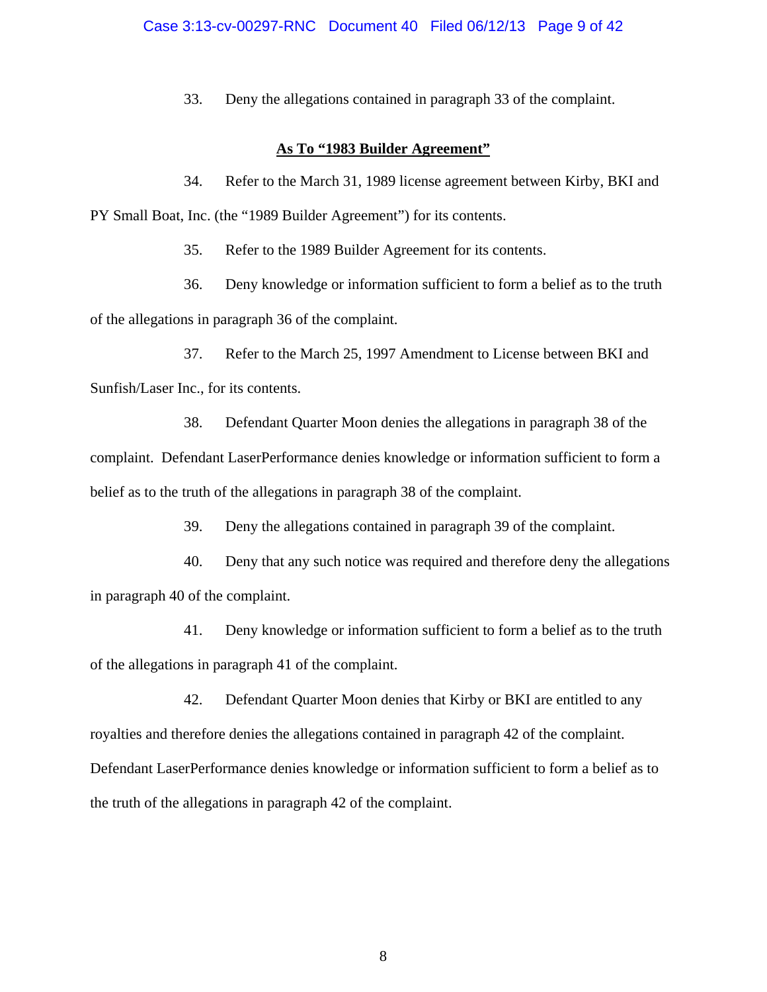33. Deny the allegations contained in paragraph 33 of the complaint.

# **As To "1983 Builder Agreement"**

34. Refer to the March 31, 1989 license agreement between Kirby, BKI and PY Small Boat, Inc. (the "1989 Builder Agreement") for its contents.

35. Refer to the 1989 Builder Agreement for its contents.

36. Deny knowledge or information sufficient to form a belief as to the truth of the allegations in paragraph 36 of the complaint.

37. Refer to the March 25, 1997 Amendment to License between BKI and Sunfish/Laser Inc., for its contents.

38. Defendant Quarter Moon denies the allegations in paragraph 38 of the complaint. Defendant LaserPerformance denies knowledge or information sufficient to form a belief as to the truth of the allegations in paragraph 38 of the complaint.

39. Deny the allegations contained in paragraph 39 of the complaint.

40. Deny that any such notice was required and therefore deny the allegations in paragraph 40 of the complaint.

41. Deny knowledge or information sufficient to form a belief as to the truth of the allegations in paragraph 41 of the complaint.

42. Defendant Quarter Moon denies that Kirby or BKI are entitled to any royalties and therefore denies the allegations contained in paragraph 42 of the complaint. Defendant LaserPerformance denies knowledge or information sufficient to form a belief as to the truth of the allegations in paragraph 42 of the complaint.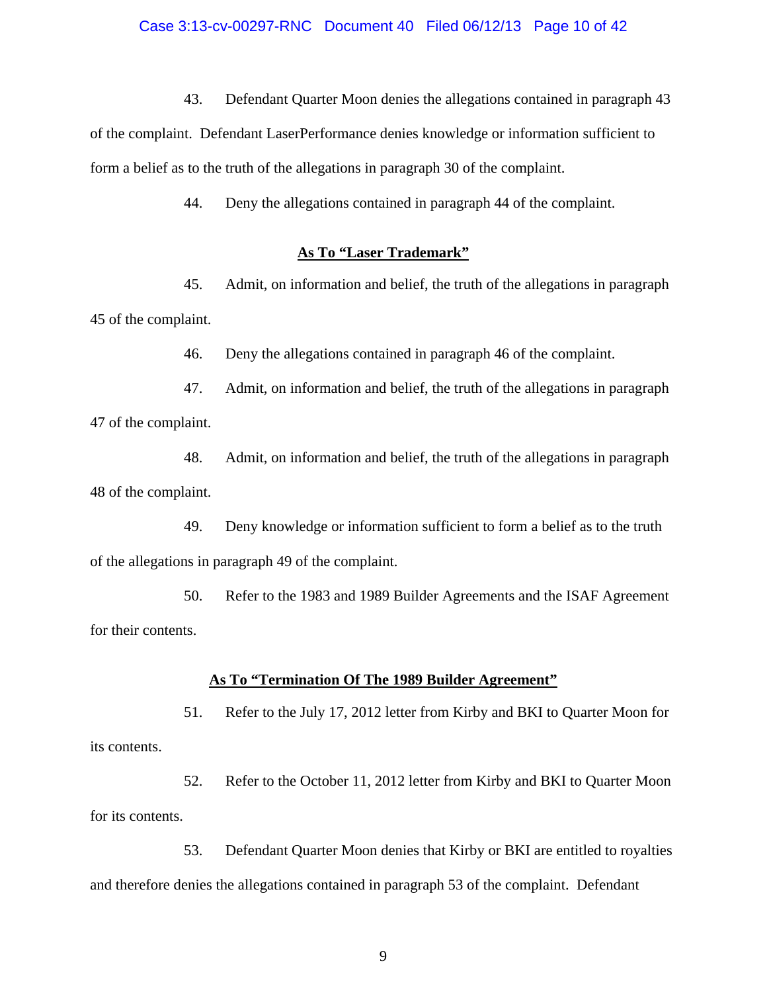#### Case 3:13-cv-00297-RNC Document 40 Filed 06/12/13 Page 10 of 42

43. Defendant Quarter Moon denies the allegations contained in paragraph 43

of the complaint. Defendant LaserPerformance denies knowledge or information sufficient to form a belief as to the truth of the allegations in paragraph 30 of the complaint.

44. Deny the allegations contained in paragraph 44 of the complaint.

## **As To "Laser Trademark"**

45. Admit, on information and belief, the truth of the allegations in paragraph 45 of the complaint.

46. Deny the allegations contained in paragraph 46 of the complaint.

47. Admit, on information and belief, the truth of the allegations in paragraph 47 of the complaint.

48. Admit, on information and belief, the truth of the allegations in paragraph 48 of the complaint.

49. Deny knowledge or information sufficient to form a belief as to the truth of the allegations in paragraph 49 of the complaint.

50. Refer to the 1983 and 1989 Builder Agreements and the ISAF Agreement for their contents.

#### **As To "Termination Of The 1989 Builder Agreement"**

51. Refer to the July 17, 2012 letter from Kirby and BKI to Quarter Moon for its contents.

52. Refer to the October 11, 2012 letter from Kirby and BKI to Quarter Moon for its contents.

53. Defendant Quarter Moon denies that Kirby or BKI are entitled to royalties and therefore denies the allegations contained in paragraph 53 of the complaint. Defendant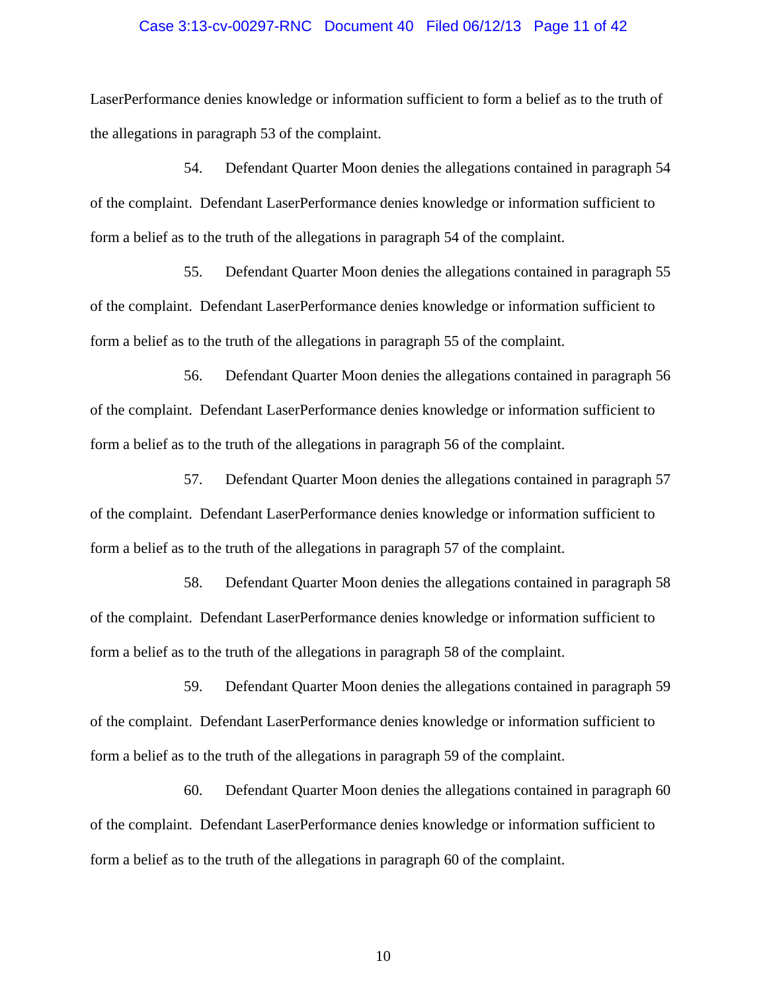#### Case 3:13-cv-00297-RNC Document 40 Filed 06/12/13 Page 11 of 42

LaserPerformance denies knowledge or information sufficient to form a belief as to the truth of the allegations in paragraph 53 of the complaint.

54. Defendant Quarter Moon denies the allegations contained in paragraph 54 of the complaint. Defendant LaserPerformance denies knowledge or information sufficient to form a belief as to the truth of the allegations in paragraph 54 of the complaint.

55. Defendant Quarter Moon denies the allegations contained in paragraph 55 of the complaint. Defendant LaserPerformance denies knowledge or information sufficient to form a belief as to the truth of the allegations in paragraph 55 of the complaint.

56. Defendant Quarter Moon denies the allegations contained in paragraph 56 of the complaint. Defendant LaserPerformance denies knowledge or information sufficient to form a belief as to the truth of the allegations in paragraph 56 of the complaint.

57. Defendant Quarter Moon denies the allegations contained in paragraph 57 of the complaint. Defendant LaserPerformance denies knowledge or information sufficient to form a belief as to the truth of the allegations in paragraph 57 of the complaint.

58. Defendant Quarter Moon denies the allegations contained in paragraph 58 of the complaint. Defendant LaserPerformance denies knowledge or information sufficient to form a belief as to the truth of the allegations in paragraph 58 of the complaint.

59. Defendant Quarter Moon denies the allegations contained in paragraph 59 of the complaint. Defendant LaserPerformance denies knowledge or information sufficient to form a belief as to the truth of the allegations in paragraph 59 of the complaint.

60. Defendant Quarter Moon denies the allegations contained in paragraph 60 of the complaint. Defendant LaserPerformance denies knowledge or information sufficient to form a belief as to the truth of the allegations in paragraph 60 of the complaint.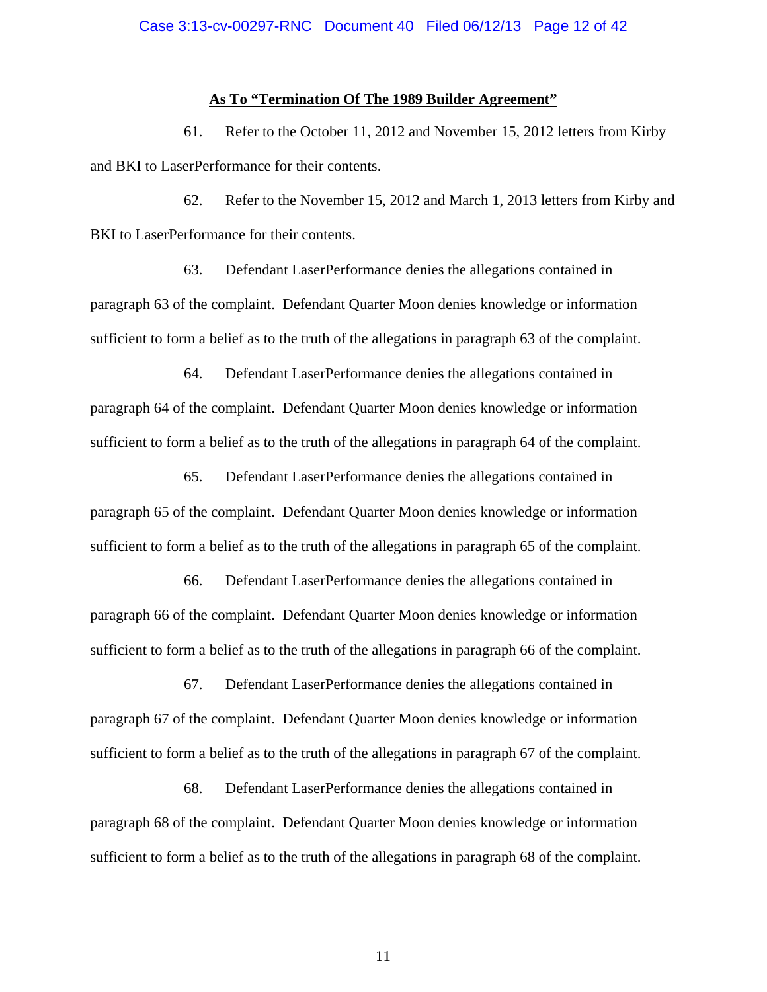#### **As To "Termination Of The 1989 Builder Agreement"**

61. Refer to the October 11, 2012 and November 15, 2012 letters from Kirby and BKI to LaserPerformance for their contents.

62. Refer to the November 15, 2012 and March 1, 2013 letters from Kirby and BKI to LaserPerformance for their contents.

63. Defendant LaserPerformance denies the allegations contained in paragraph 63 of the complaint. Defendant Quarter Moon denies knowledge or information sufficient to form a belief as to the truth of the allegations in paragraph 63 of the complaint.

64. Defendant LaserPerformance denies the allegations contained in paragraph 64 of the complaint. Defendant Quarter Moon denies knowledge or information sufficient to form a belief as to the truth of the allegations in paragraph 64 of the complaint.

65. Defendant LaserPerformance denies the allegations contained in paragraph 65 of the complaint. Defendant Quarter Moon denies knowledge or information sufficient to form a belief as to the truth of the allegations in paragraph 65 of the complaint.

66. Defendant LaserPerformance denies the allegations contained in paragraph 66 of the complaint. Defendant Quarter Moon denies knowledge or information sufficient to form a belief as to the truth of the allegations in paragraph 66 of the complaint.

67. Defendant LaserPerformance denies the allegations contained in paragraph 67 of the complaint. Defendant Quarter Moon denies knowledge or information sufficient to form a belief as to the truth of the allegations in paragraph 67 of the complaint.

68. Defendant LaserPerformance denies the allegations contained in paragraph 68 of the complaint. Defendant Quarter Moon denies knowledge or information sufficient to form a belief as to the truth of the allegations in paragraph 68 of the complaint.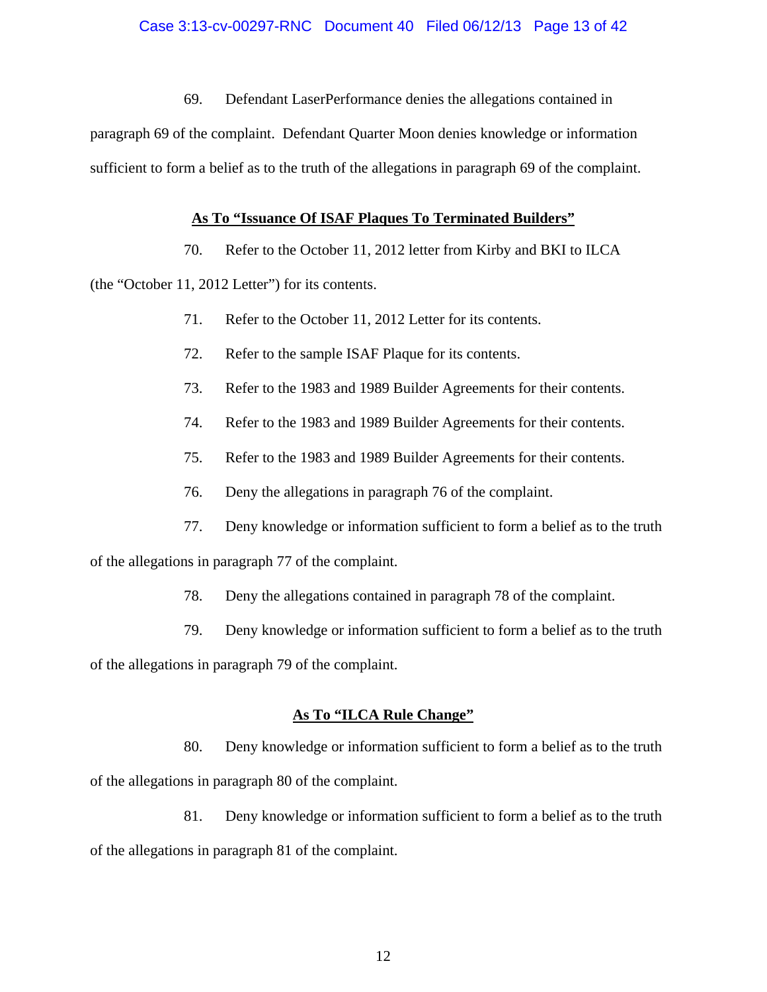69. Defendant LaserPerformance denies the allegations contained in

paragraph 69 of the complaint. Defendant Quarter Moon denies knowledge or information sufficient to form a belief as to the truth of the allegations in paragraph 69 of the complaint.

## **As To "Issuance Of ISAF Plaques To Terminated Builders"**

70. Refer to the October 11, 2012 letter from Kirby and BKI to ILCA

(the "October 11, 2012 Letter") for its contents.

- 71. Refer to the October 11, 2012 Letter for its contents.
- 72. Refer to the sample ISAF Plaque for its contents.
- 73. Refer to the 1983 and 1989 Builder Agreements for their contents.
- 74. Refer to the 1983 and 1989 Builder Agreements for their contents.
- 75. Refer to the 1983 and 1989 Builder Agreements for their contents.
- 76. Deny the allegations in paragraph 76 of the complaint.
- 77. Deny knowledge or information sufficient to form a belief as to the truth

of the allegations in paragraph 77 of the complaint.

- 78. Deny the allegations contained in paragraph 78 of the complaint.
- 79. Deny knowledge or information sufficient to form a belief as to the truth

of the allegations in paragraph 79 of the complaint.

# **As To "ILCA Rule Change"**

80. Deny knowledge or information sufficient to form a belief as to the truth of the allegations in paragraph 80 of the complaint.

81. Deny knowledge or information sufficient to form a belief as to the truth of the allegations in paragraph 81 of the complaint.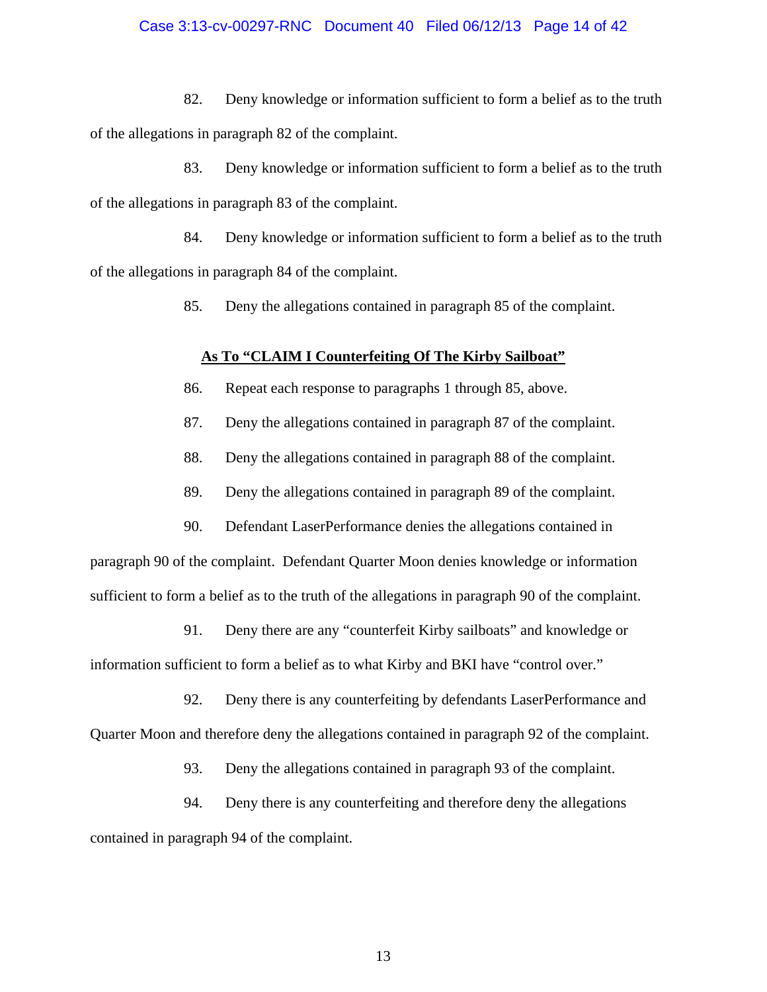### Case 3:13-cv-00297-RNC Document 40 Filed 06/12/13 Page 14 of 42

82. Deny knowledge or information sufficient to form a belief as to the truth of the allegations in paragraph 82 of the complaint.

83. Deny knowledge or information sufficient to form a belief as to the truth of the allegations in paragraph 83 of the complaint.

84. Deny knowledge or information sufficient to form a belief as to the truth of the allegations in paragraph 84 of the complaint.

85. Deny the allegations contained in paragraph 85 of the complaint.

# **As To "CLAIM I Counterfeiting Of The Kirby Sailboat"**

- 86. Repeat each response to paragraphs 1 through 85, above.
- 87. Deny the allegations contained in paragraph 87 of the complaint.
- 88. Deny the allegations contained in paragraph 88 of the complaint.
- 89. Deny the allegations contained in paragraph 89 of the complaint.
- 90. Defendant LaserPerformance denies the allegations contained in

paragraph 90 of the complaint. Defendant Quarter Moon denies knowledge or information sufficient to form a belief as to the truth of the allegations in paragraph 90 of the complaint.

91. Deny there are any "counterfeit Kirby sailboats" and knowledge or information sufficient to form a belief as to what Kirby and BKI have "control over."

92. Deny there is any counterfeiting by defendants LaserPerformance and

Quarter Moon and therefore deny the allegations contained in paragraph 92 of the complaint.

93. Deny the allegations contained in paragraph 93 of the complaint.

94. Deny there is any counterfeiting and therefore deny the allegations contained in paragraph 94 of the complaint.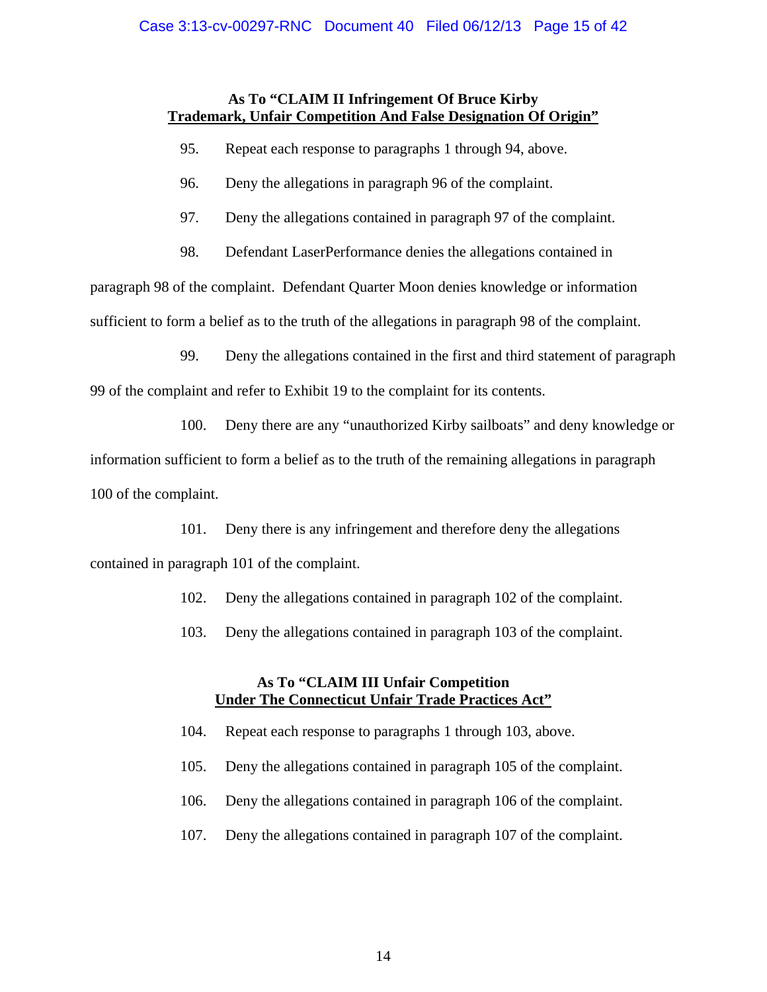# **As To "CLAIM II Infringement Of Bruce Kirby Trademark, Unfair Competition And False Designation Of Origin"**

- 95. Repeat each response to paragraphs 1 through 94, above.
- 96. Deny the allegations in paragraph 96 of the complaint.
- 97. Deny the allegations contained in paragraph 97 of the complaint.
- 98. Defendant LaserPerformance denies the allegations contained in

paragraph 98 of the complaint. Defendant Quarter Moon denies knowledge or information

sufficient to form a belief as to the truth of the allegations in paragraph 98 of the complaint.

99. Deny the allegations contained in the first and third statement of paragraph

99 of the complaint and refer to Exhibit 19 to the complaint for its contents.

100. Deny there are any "unauthorized Kirby sailboats" and deny knowledge or

information sufficient to form a belief as to the truth of the remaining allegations in paragraph 100 of the complaint.

101. Deny there is any infringement and therefore deny the allegations

contained in paragraph 101 of the complaint.

- 102. Deny the allegations contained in paragraph 102 of the complaint.
- 103. Deny the allegations contained in paragraph 103 of the complaint.

# **As To "CLAIM III Unfair Competition Under The Connecticut Unfair Trade Practices Act"**

- 104. Repeat each response to paragraphs 1 through 103, above.
- 105. Deny the allegations contained in paragraph 105 of the complaint.
- 106. Deny the allegations contained in paragraph 106 of the complaint.
- 107. Deny the allegations contained in paragraph 107 of the complaint.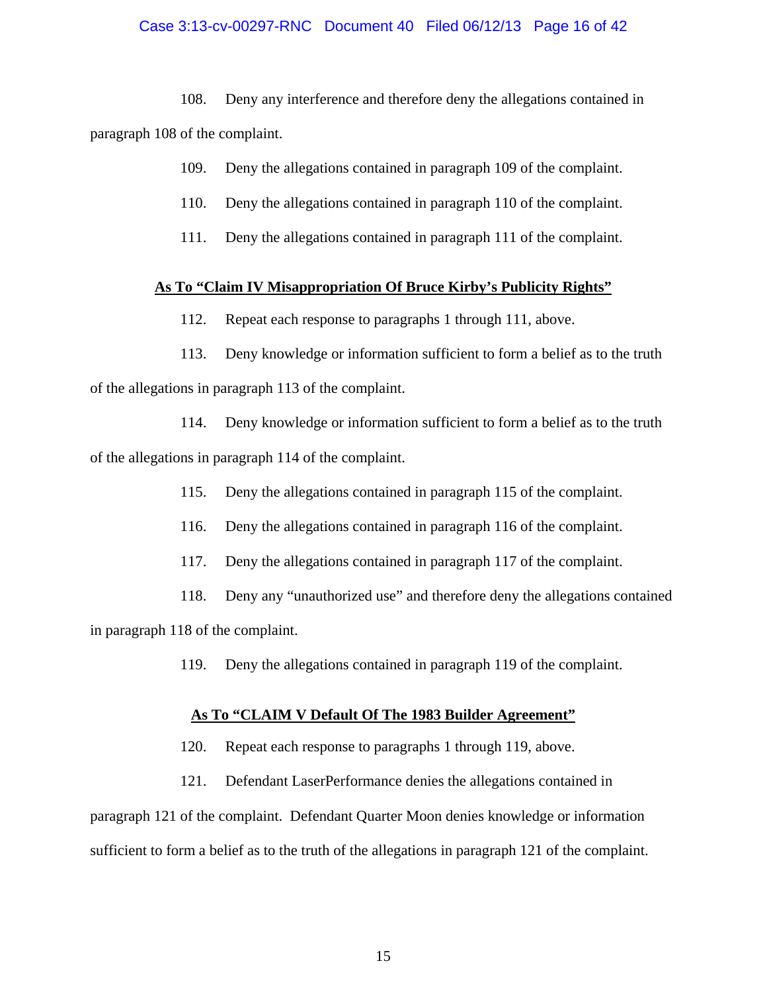# Case 3:13-cv-00297-RNC Document 40 Filed 06/12/13 Page 16 of 42

108. Deny any interference and therefore deny the allegations contained in paragraph 108 of the complaint.

- 109. Deny the allegations contained in paragraph 109 of the complaint.
- 110. Deny the allegations contained in paragraph 110 of the complaint.
- 111. Deny the allegations contained in paragraph 111 of the complaint.

## **As To "Claim IV Misappropriation Of Bruce Kirby's Publicity Rights"**

112. Repeat each response to paragraphs 1 through 111, above.

113. Deny knowledge or information sufficient to form a belief as to the truth of the allegations in paragraph 113 of the complaint.

114. Deny knowledge or information sufficient to form a belief as to the truth of the allegations in paragraph 114 of the complaint.

115. Deny the allegations contained in paragraph 115 of the complaint.

116. Deny the allegations contained in paragraph 116 of the complaint.

117. Deny the allegations contained in paragraph 117 of the complaint.

118. Deny any "unauthorized use" and therefore deny the allegations contained in paragraph 118 of the complaint.

119. Deny the allegations contained in paragraph 119 of the complaint.

#### **As To "CLAIM V Default Of The 1983 Builder Agreement"**

- 120. Repeat each response to paragraphs 1 through 119, above.
- 121. Defendant LaserPerformance denies the allegations contained in

paragraph 121 of the complaint. Defendant Quarter Moon denies knowledge or information sufficient to form a belief as to the truth of the allegations in paragraph 121 of the complaint.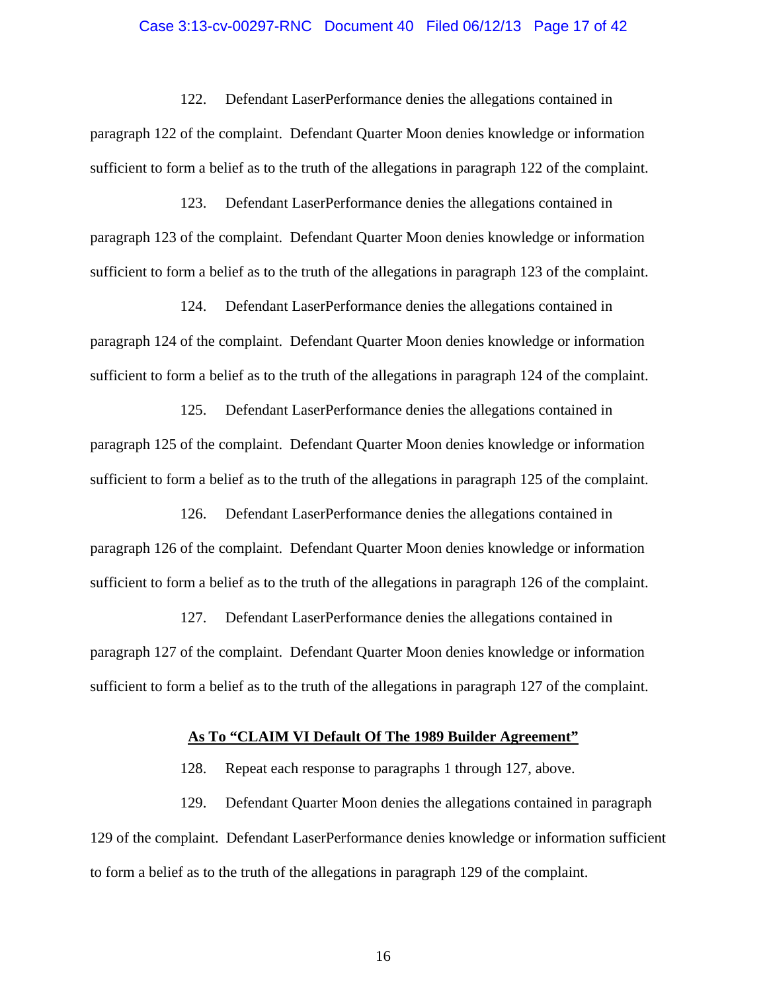#### Case 3:13-cv-00297-RNC Document 40 Filed 06/12/13 Page 17 of 42

122. Defendant LaserPerformance denies the allegations contained in paragraph 122 of the complaint. Defendant Quarter Moon denies knowledge or information sufficient to form a belief as to the truth of the allegations in paragraph 122 of the complaint.

123. Defendant LaserPerformance denies the allegations contained in paragraph 123 of the complaint. Defendant Quarter Moon denies knowledge or information sufficient to form a belief as to the truth of the allegations in paragraph 123 of the complaint.

124. Defendant LaserPerformance denies the allegations contained in paragraph 124 of the complaint. Defendant Quarter Moon denies knowledge or information sufficient to form a belief as to the truth of the allegations in paragraph 124 of the complaint.

125. Defendant LaserPerformance denies the allegations contained in paragraph 125 of the complaint. Defendant Quarter Moon denies knowledge or information sufficient to form a belief as to the truth of the allegations in paragraph 125 of the complaint.

126. Defendant LaserPerformance denies the allegations contained in paragraph 126 of the complaint. Defendant Quarter Moon denies knowledge or information sufficient to form a belief as to the truth of the allegations in paragraph 126 of the complaint.

127. Defendant LaserPerformance denies the allegations contained in paragraph 127 of the complaint. Defendant Quarter Moon denies knowledge or information sufficient to form a belief as to the truth of the allegations in paragraph 127 of the complaint.

#### **As To "CLAIM VI Default Of The 1989 Builder Agreement"**

128. Repeat each response to paragraphs 1 through 127, above.

129. Defendant Quarter Moon denies the allegations contained in paragraph 129 of the complaint. Defendant LaserPerformance denies knowledge or information sufficient to form a belief as to the truth of the allegations in paragraph 129 of the complaint.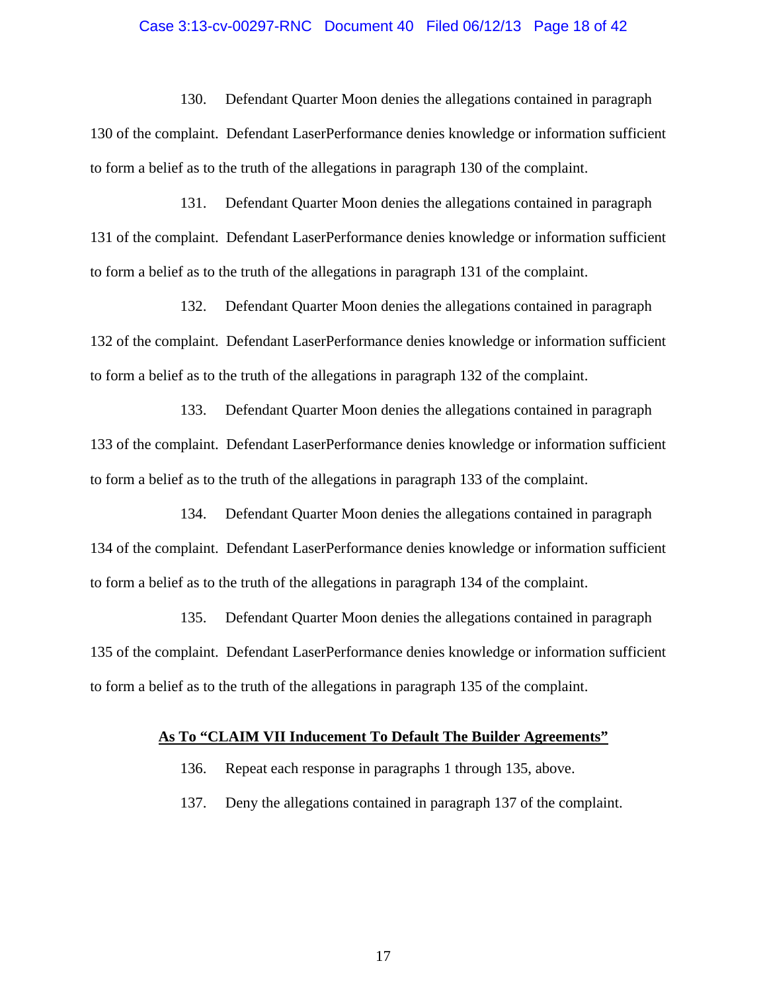#### Case 3:13-cv-00297-RNC Document 40 Filed 06/12/13 Page 18 of 42

130. Defendant Quarter Moon denies the allegations contained in paragraph 130 of the complaint. Defendant LaserPerformance denies knowledge or information sufficient to form a belief as to the truth of the allegations in paragraph 130 of the complaint.

131. Defendant Quarter Moon denies the allegations contained in paragraph 131 of the complaint. Defendant LaserPerformance denies knowledge or information sufficient to form a belief as to the truth of the allegations in paragraph 131 of the complaint.

132. Defendant Quarter Moon denies the allegations contained in paragraph 132 of the complaint. Defendant LaserPerformance denies knowledge or information sufficient to form a belief as to the truth of the allegations in paragraph 132 of the complaint.

133. Defendant Quarter Moon denies the allegations contained in paragraph 133 of the complaint. Defendant LaserPerformance denies knowledge or information sufficient to form a belief as to the truth of the allegations in paragraph 133 of the complaint.

134. Defendant Quarter Moon denies the allegations contained in paragraph 134 of the complaint. Defendant LaserPerformance denies knowledge or information sufficient to form a belief as to the truth of the allegations in paragraph 134 of the complaint.

135. Defendant Quarter Moon denies the allegations contained in paragraph 135 of the complaint. Defendant LaserPerformance denies knowledge or information sufficient to form a belief as to the truth of the allegations in paragraph 135 of the complaint.

#### **As To "CLAIM VII Inducement To Default The Builder Agreements"**

136. Repeat each response in paragraphs 1 through 135, above.

137. Deny the allegations contained in paragraph 137 of the complaint.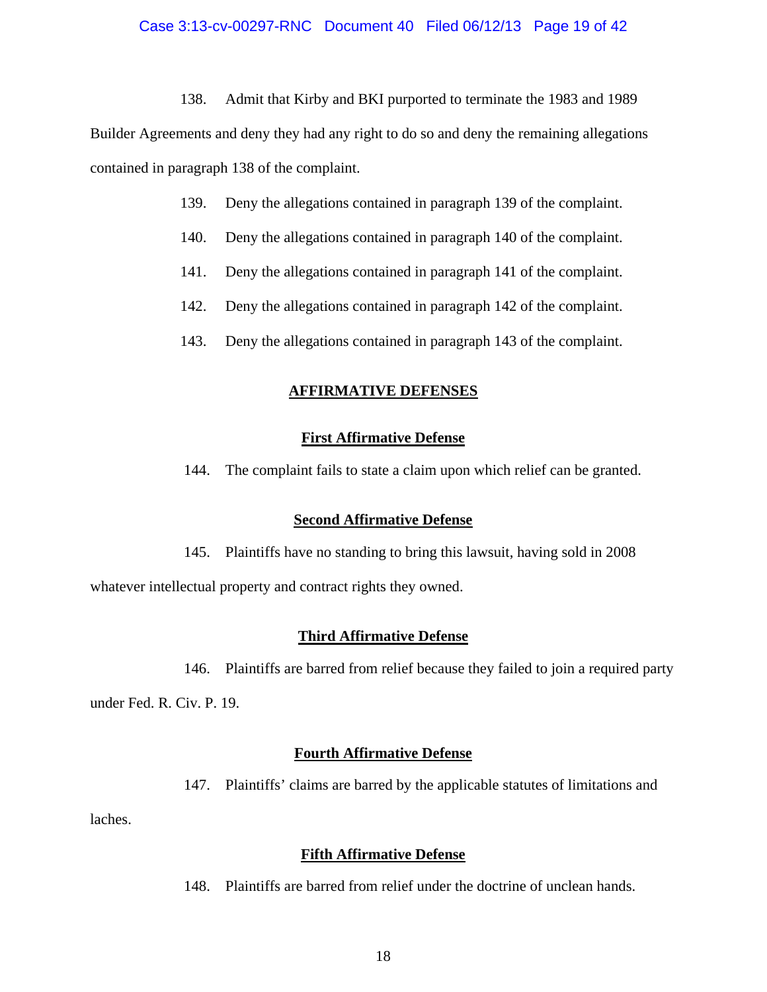138. Admit that Kirby and BKI purported to terminate the 1983 and 1989

Builder Agreements and deny they had any right to do so and deny the remaining allegations contained in paragraph 138 of the complaint.

- 139. Deny the allegations contained in paragraph 139 of the complaint.
- 140. Deny the allegations contained in paragraph 140 of the complaint.
- 141. Deny the allegations contained in paragraph 141 of the complaint.
- 142. Deny the allegations contained in paragraph 142 of the complaint.
- 143. Deny the allegations contained in paragraph 143 of the complaint.

## **AFFIRMATIVE DEFENSES**

### **First Affirmative Defense**

144. The complaint fails to state a claim upon which relief can be granted.

### **Second Affirmative Defense**

145. Plaintiffs have no standing to bring this lawsuit, having sold in 2008

whatever intellectual property and contract rights they owned.

### **Third Affirmative Defense**

146. Plaintiffs are barred from relief because they failed to join a required party

under Fed. R. Civ. P. 19.

## **Fourth Affirmative Defense**

147. Plaintiffs' claims are barred by the applicable statutes of limitations and

laches.

### **Fifth Affirmative Defense**

148. Plaintiffs are barred from relief under the doctrine of unclean hands.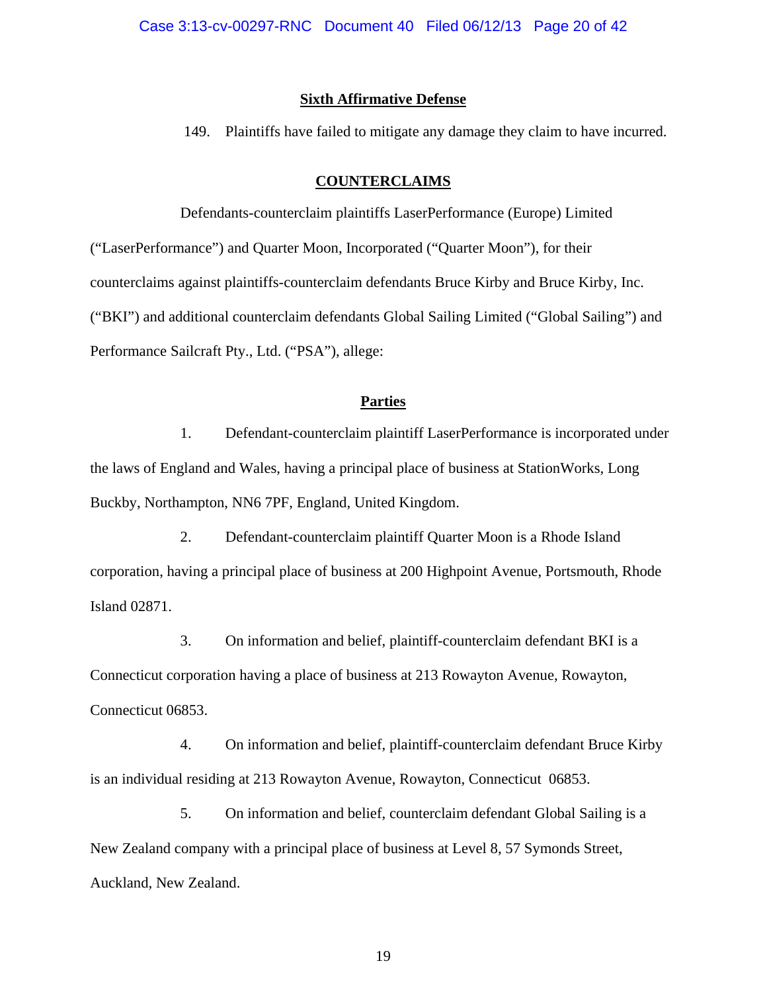### **Sixth Affirmative Defense**

149. Plaintiffs have failed to mitigate any damage they claim to have incurred.

## **COUNTERCLAIMS**

Defendants-counterclaim plaintiffs LaserPerformance (Europe) Limited ("LaserPerformance") and Quarter Moon, Incorporated ("Quarter Moon"), for their counterclaims against plaintiffs-counterclaim defendants Bruce Kirby and Bruce Kirby, Inc. ("BKI") and additional counterclaim defendants Global Sailing Limited ("Global Sailing") and Performance Sailcraft Pty., Ltd. ("PSA"), allege:

## **Parties**

1. Defendant-counterclaim plaintiff LaserPerformance is incorporated under the laws of England and Wales, having a principal place of business at StationWorks, Long Buckby, Northampton, NN6 7PF, England, United Kingdom.

2. Defendant-counterclaim plaintiff Quarter Moon is a Rhode Island corporation, having a principal place of business at 200 Highpoint Avenue, Portsmouth, Rhode Island 02871.

3. On information and belief, plaintiff-counterclaim defendant BKI is a Connecticut corporation having a place of business at 213 Rowayton Avenue, Rowayton, Connecticut 06853.

4. On information and belief, plaintiff-counterclaim defendant Bruce Kirby is an individual residing at 213 Rowayton Avenue, Rowayton, Connecticut 06853.

5. On information and belief, counterclaim defendant Global Sailing is a New Zealand company with a principal place of business at Level 8, 57 Symonds Street, Auckland, New Zealand.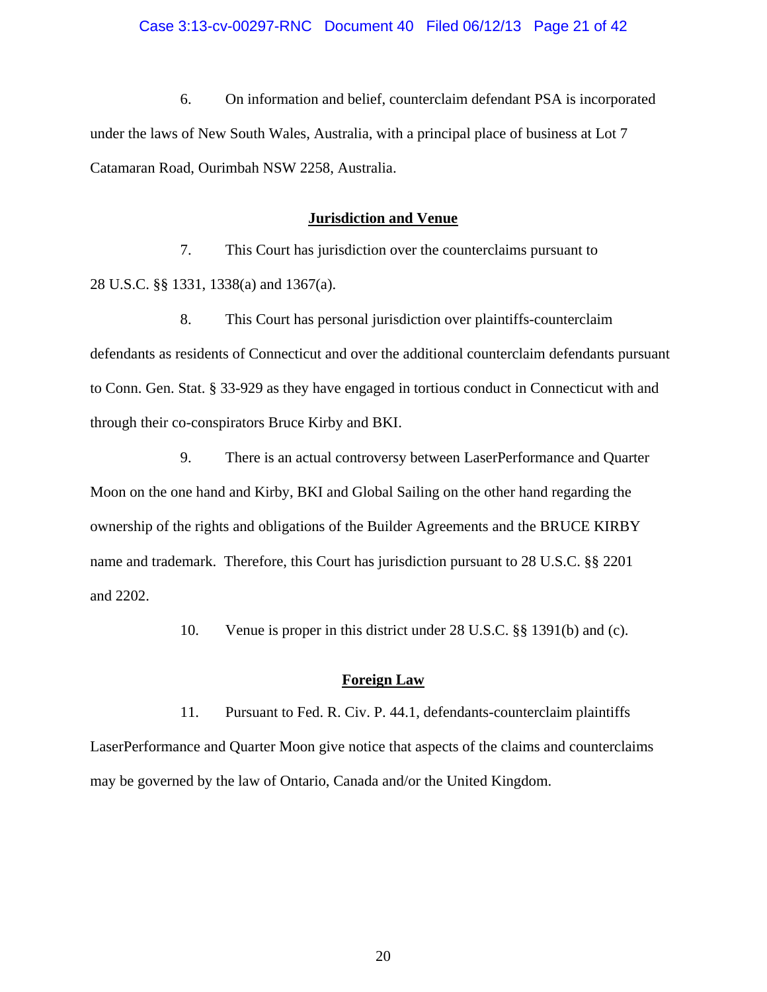6. On information and belief, counterclaim defendant PSA is incorporated under the laws of New South Wales, Australia, with a principal place of business at Lot 7 Catamaran Road, Ourimbah NSW 2258, Australia.

### **Jurisdiction and Venue**

7. This Court has jurisdiction over the counterclaims pursuant to 28 U.S.C. §§ 1331, 1338(a) and 1367(a).

8. This Court has personal jurisdiction over plaintiffs-counterclaim defendants as residents of Connecticut and over the additional counterclaim defendants pursuant to Conn. Gen. Stat. § 33-929 as they have engaged in tortious conduct in Connecticut with and through their co-conspirators Bruce Kirby and BKI.

9. There is an actual controversy between LaserPerformance and Quarter Moon on the one hand and Kirby, BKI and Global Sailing on the other hand regarding the ownership of the rights and obligations of the Builder Agreements and the BRUCE KIRBY name and trademark. Therefore, this Court has jurisdiction pursuant to 28 U.S.C. §§ 2201 and 2202.

10. Venue is proper in this district under 28 U.S.C. §§ 1391(b) and (c).

### **Foreign Law**

11. Pursuant to Fed. R. Civ. P. 44.1, defendants-counterclaim plaintiffs LaserPerformance and Quarter Moon give notice that aspects of the claims and counterclaims may be governed by the law of Ontario, Canada and/or the United Kingdom.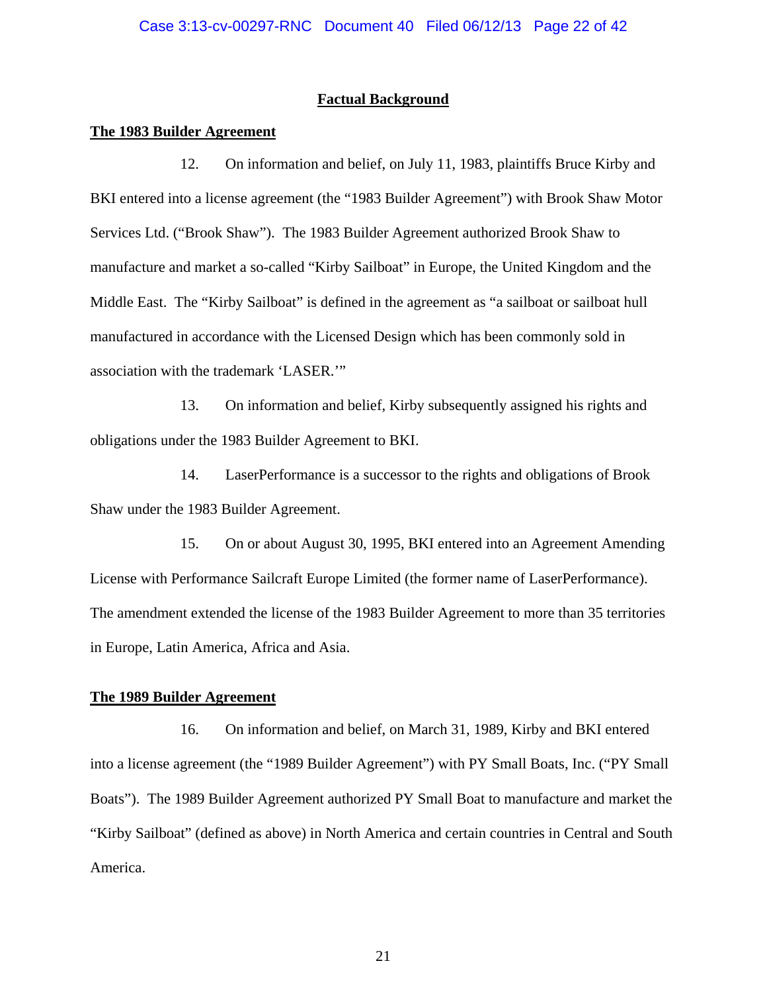### **Factual Background**

#### **The 1983 Builder Agreement**

12. On information and belief, on July 11, 1983, plaintiffs Bruce Kirby and BKI entered into a license agreement (the "1983 Builder Agreement") with Brook Shaw Motor Services Ltd. ("Brook Shaw"). The 1983 Builder Agreement authorized Brook Shaw to manufacture and market a so-called "Kirby Sailboat" in Europe, the United Kingdom and the Middle East. The "Kirby Sailboat" is defined in the agreement as "a sailboat or sailboat hull manufactured in accordance with the Licensed Design which has been commonly sold in association with the trademark 'LASER.'"

13. On information and belief, Kirby subsequently assigned his rights and obligations under the 1983 Builder Agreement to BKI.

14. LaserPerformance is a successor to the rights and obligations of Brook Shaw under the 1983 Builder Agreement.

15. On or about August 30, 1995, BKI entered into an Agreement Amending License with Performance Sailcraft Europe Limited (the former name of LaserPerformance). The amendment extended the license of the 1983 Builder Agreement to more than 35 territories in Europe, Latin America, Africa and Asia.

## **The 1989 Builder Agreement**

16. On information and belief, on March 31, 1989, Kirby and BKI entered into a license agreement (the "1989 Builder Agreement") with PY Small Boats, Inc. ("PY Small Boats"). The 1989 Builder Agreement authorized PY Small Boat to manufacture and market the "Kirby Sailboat" (defined as above) in North America and certain countries in Central and South America.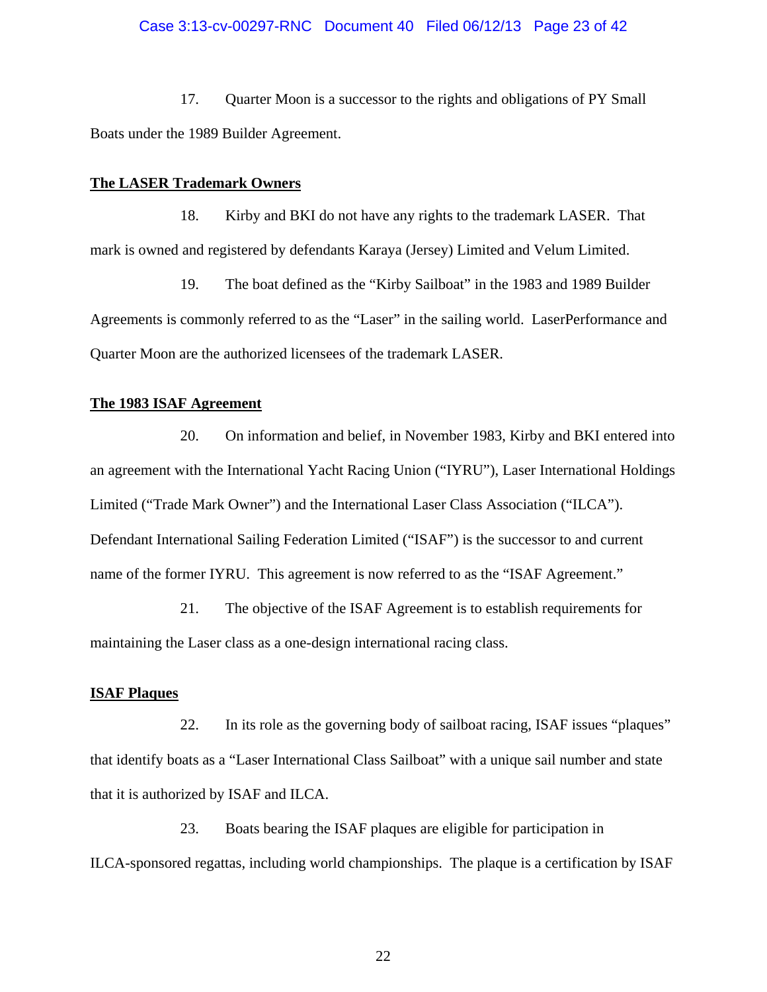### Case 3:13-cv-00297-RNC Document 40 Filed 06/12/13 Page 23 of 42

17. Quarter Moon is a successor to the rights and obligations of PY Small Boats under the 1989 Builder Agreement.

#### **The LASER Trademark Owners**

18. Kirby and BKI do not have any rights to the trademark LASER. That mark is owned and registered by defendants Karaya (Jersey) Limited and Velum Limited.

19. The boat defined as the "Kirby Sailboat" in the 1983 and 1989 Builder Agreements is commonly referred to as the "Laser" in the sailing world. LaserPerformance and Quarter Moon are the authorized licensees of the trademark LASER.

#### **The 1983 ISAF Agreement**

20. On information and belief, in November 1983, Kirby and BKI entered into an agreement with the International Yacht Racing Union ("IYRU"), Laser International Holdings Limited ("Trade Mark Owner") and the International Laser Class Association ("ILCA"). Defendant International Sailing Federation Limited ("ISAF") is the successor to and current name of the former IYRU. This agreement is now referred to as the "ISAF Agreement."

21. The objective of the ISAF Agreement is to establish requirements for maintaining the Laser class as a one-design international racing class.

#### **ISAF Plaques**

22. In its role as the governing body of sailboat racing, ISAF issues "plaques" that identify boats as a "Laser International Class Sailboat" with a unique sail number and state that it is authorized by ISAF and ILCA.

23. Boats bearing the ISAF plaques are eligible for participation in ILCA-sponsored regattas, including world championships. The plaque is a certification by ISAF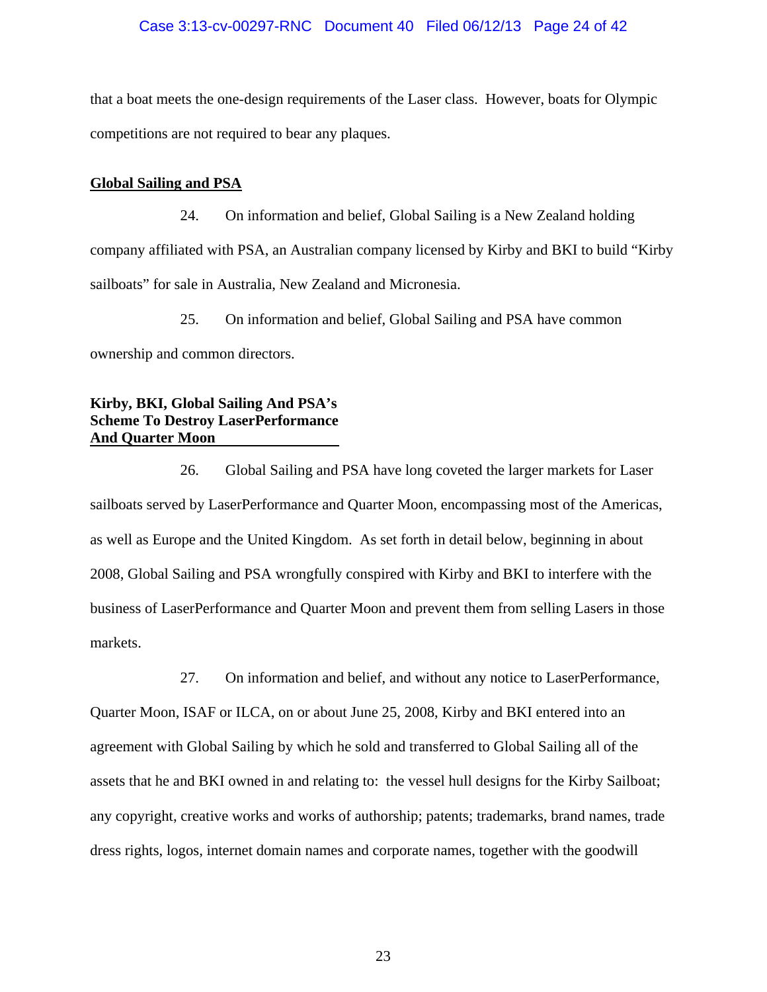## Case 3:13-cv-00297-RNC Document 40 Filed 06/12/13 Page 24 of 42

that a boat meets the one-design requirements of the Laser class. However, boats for Olympic competitions are not required to bear any plaques.

## **Global Sailing and PSA**

24. On information and belief, Global Sailing is a New Zealand holding company affiliated with PSA, an Australian company licensed by Kirby and BKI to build "Kirby sailboats" for sale in Australia, New Zealand and Micronesia.

25. On information and belief, Global Sailing and PSA have common ownership and common directors.

# **Kirby, BKI, Global Sailing And PSA's Scheme To Destroy LaserPerformance And Quarter Moon**

26. Global Sailing and PSA have long coveted the larger markets for Laser sailboats served by LaserPerformance and Quarter Moon, encompassing most of the Americas, as well as Europe and the United Kingdom. As set forth in detail below, beginning in about 2008, Global Sailing and PSA wrongfully conspired with Kirby and BKI to interfere with the business of LaserPerformance and Quarter Moon and prevent them from selling Lasers in those markets.

27. On information and belief, and without any notice to LaserPerformance, Quarter Moon, ISAF or ILCA, on or about June 25, 2008, Kirby and BKI entered into an agreement with Global Sailing by which he sold and transferred to Global Sailing all of the assets that he and BKI owned in and relating to: the vessel hull designs for the Kirby Sailboat; any copyright, creative works and works of authorship; patents; trademarks, brand names, trade dress rights, logos, internet domain names and corporate names, together with the goodwill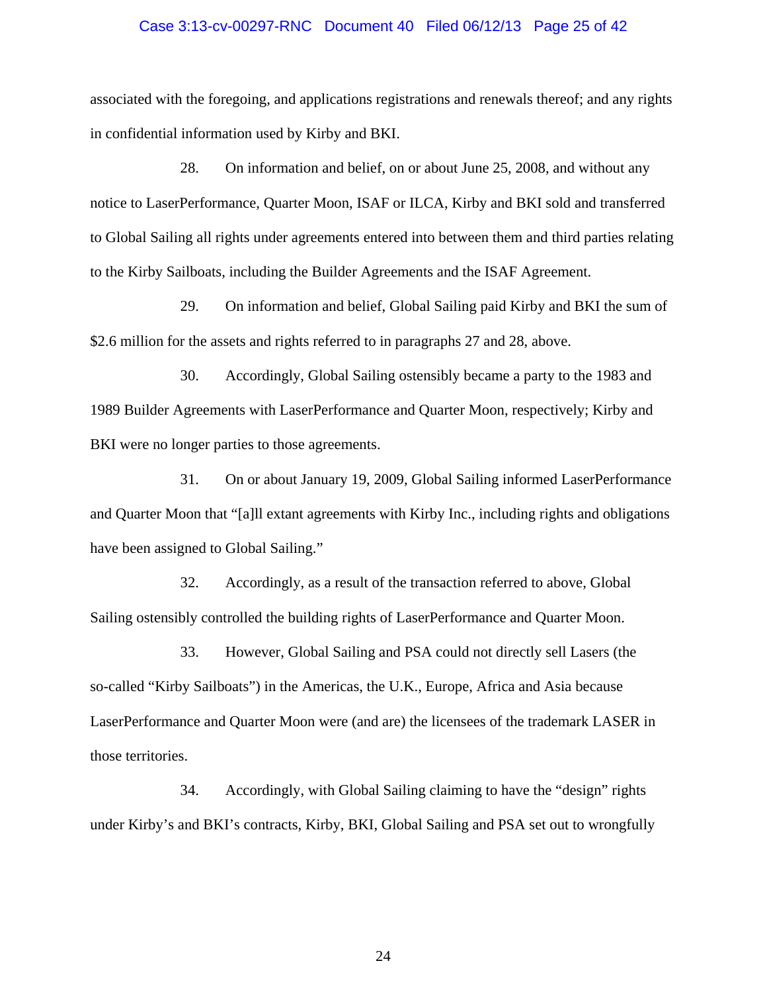#### Case 3:13-cv-00297-RNC Document 40 Filed 06/12/13 Page 25 of 42

associated with the foregoing, and applications registrations and renewals thereof; and any rights in confidential information used by Kirby and BKI.

28. On information and belief, on or about June 25, 2008, and without any notice to LaserPerformance, Quarter Moon, ISAF or ILCA, Kirby and BKI sold and transferred to Global Sailing all rights under agreements entered into between them and third parties relating to the Kirby Sailboats, including the Builder Agreements and the ISAF Agreement.

29. On information and belief, Global Sailing paid Kirby and BKI the sum of \$2.6 million for the assets and rights referred to in paragraphs 27 and 28, above.

30. Accordingly, Global Sailing ostensibly became a party to the 1983 and 1989 Builder Agreements with LaserPerformance and Quarter Moon, respectively; Kirby and BKI were no longer parties to those agreements.

31. On or about January 19, 2009, Global Sailing informed LaserPerformance and Quarter Moon that "[a]ll extant agreements with Kirby Inc., including rights and obligations have been assigned to Global Sailing."

32. Accordingly, as a result of the transaction referred to above, Global Sailing ostensibly controlled the building rights of LaserPerformance and Quarter Moon.

33. However, Global Sailing and PSA could not directly sell Lasers (the so-called "Kirby Sailboats") in the Americas, the U.K., Europe, Africa and Asia because LaserPerformance and Quarter Moon were (and are) the licensees of the trademark LASER in those territories.

34. Accordingly, with Global Sailing claiming to have the "design" rights under Kirby's and BKI's contracts, Kirby, BKI, Global Sailing and PSA set out to wrongfully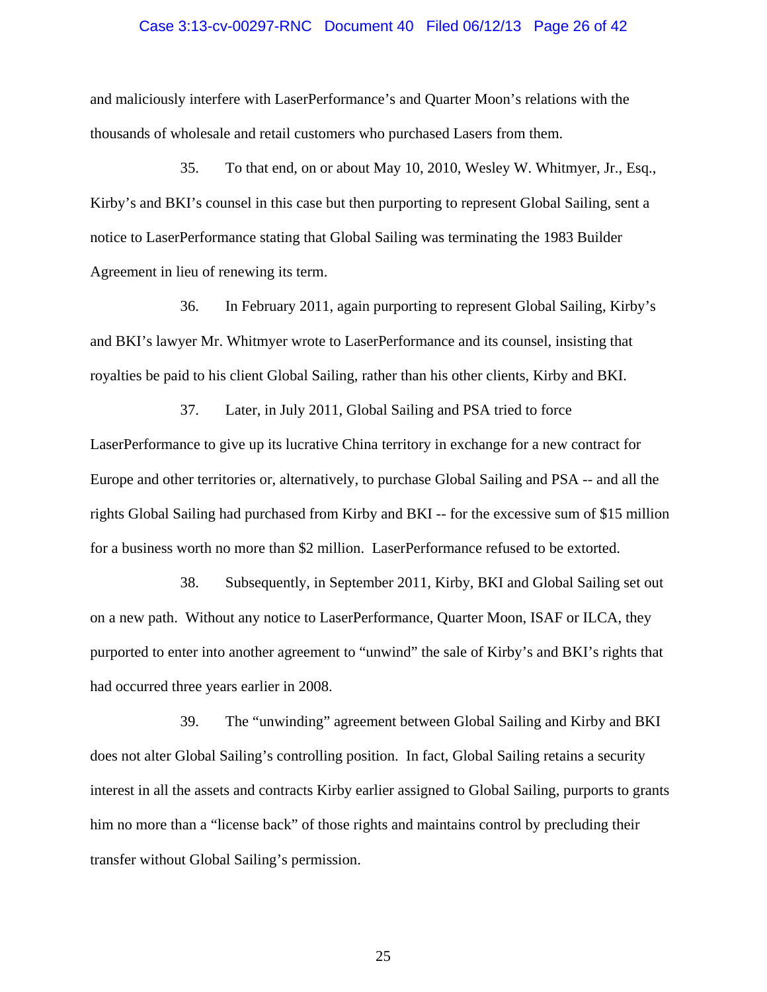#### Case 3:13-cv-00297-RNC Document 40 Filed 06/12/13 Page 26 of 42

and maliciously interfere with LaserPerformance's and Quarter Moon's relations with the thousands of wholesale and retail customers who purchased Lasers from them.

35. To that end, on or about May 10, 2010, Wesley W. Whitmyer, Jr., Esq., Kirby's and BKI's counsel in this case but then purporting to represent Global Sailing, sent a notice to LaserPerformance stating that Global Sailing was terminating the 1983 Builder Agreement in lieu of renewing its term.

36. In February 2011, again purporting to represent Global Sailing, Kirby's and BKI's lawyer Mr. Whitmyer wrote to LaserPerformance and its counsel, insisting that royalties be paid to his client Global Sailing, rather than his other clients, Kirby and BKI.

37. Later, in July 2011, Global Sailing and PSA tried to force LaserPerformance to give up its lucrative China territory in exchange for a new contract for Europe and other territories or, alternatively, to purchase Global Sailing and PSA -- and all the rights Global Sailing had purchased from Kirby and BKI -- for the excessive sum of \$15 million for a business worth no more than \$2 million. LaserPerformance refused to be extorted.

38. Subsequently, in September 2011, Kirby, BKI and Global Sailing set out on a new path. Without any notice to LaserPerformance, Quarter Moon, ISAF or ILCA, they purported to enter into another agreement to "unwind" the sale of Kirby's and BKI's rights that had occurred three years earlier in 2008.

39. The "unwinding" agreement between Global Sailing and Kirby and BKI does not alter Global Sailing's controlling position. In fact, Global Sailing retains a security interest in all the assets and contracts Kirby earlier assigned to Global Sailing, purports to grants him no more than a "license back" of those rights and maintains control by precluding their transfer without Global Sailing's permission.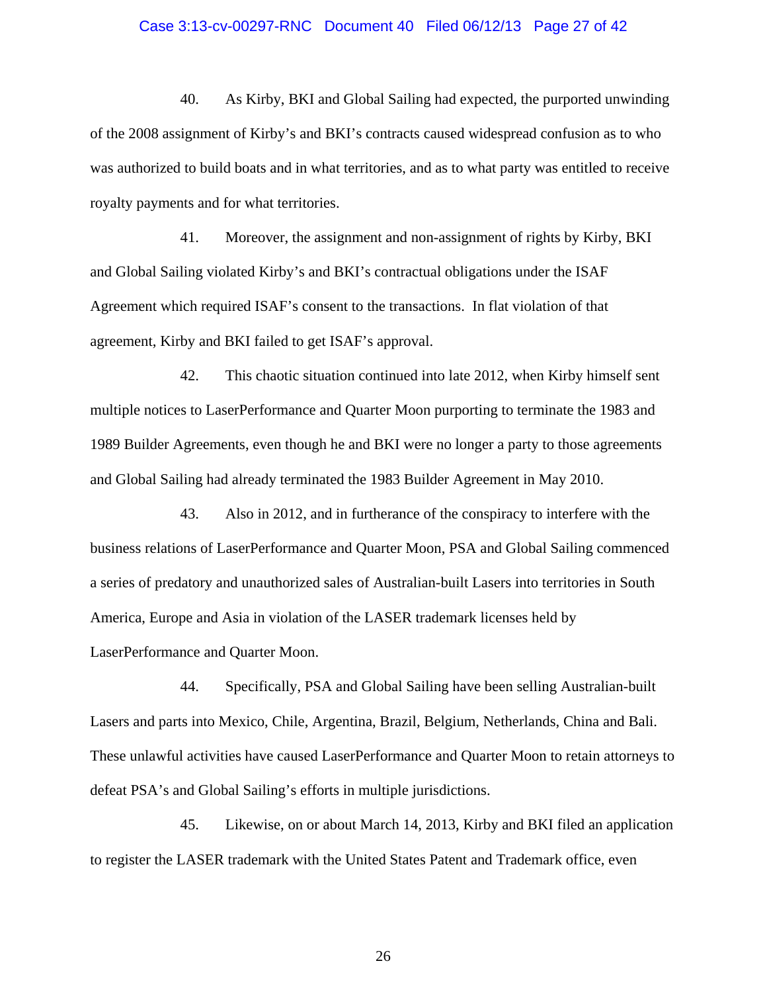#### Case 3:13-cv-00297-RNC Document 40 Filed 06/12/13 Page 27 of 42

40. As Kirby, BKI and Global Sailing had expected, the purported unwinding of the 2008 assignment of Kirby's and BKI's contracts caused widespread confusion as to who was authorized to build boats and in what territories, and as to what party was entitled to receive royalty payments and for what territories.

41. Moreover, the assignment and non-assignment of rights by Kirby, BKI and Global Sailing violated Kirby's and BKI's contractual obligations under the ISAF Agreement which required ISAF's consent to the transactions. In flat violation of that agreement, Kirby and BKI failed to get ISAF's approval.

42. This chaotic situation continued into late 2012, when Kirby himself sent multiple notices to LaserPerformance and Quarter Moon purporting to terminate the 1983 and 1989 Builder Agreements, even though he and BKI were no longer a party to those agreements and Global Sailing had already terminated the 1983 Builder Agreement in May 2010.

43. Also in 2012, and in furtherance of the conspiracy to interfere with the business relations of LaserPerformance and Quarter Moon, PSA and Global Sailing commenced a series of predatory and unauthorized sales of Australian-built Lasers into territories in South America, Europe and Asia in violation of the LASER trademark licenses held by LaserPerformance and Quarter Moon.

44. Specifically, PSA and Global Sailing have been selling Australian-built Lasers and parts into Mexico, Chile, Argentina, Brazil, Belgium, Netherlands, China and Bali. These unlawful activities have caused LaserPerformance and Quarter Moon to retain attorneys to defeat PSA's and Global Sailing's efforts in multiple jurisdictions.

45. Likewise, on or about March 14, 2013, Kirby and BKI filed an application to register the LASER trademark with the United States Patent and Trademark office, even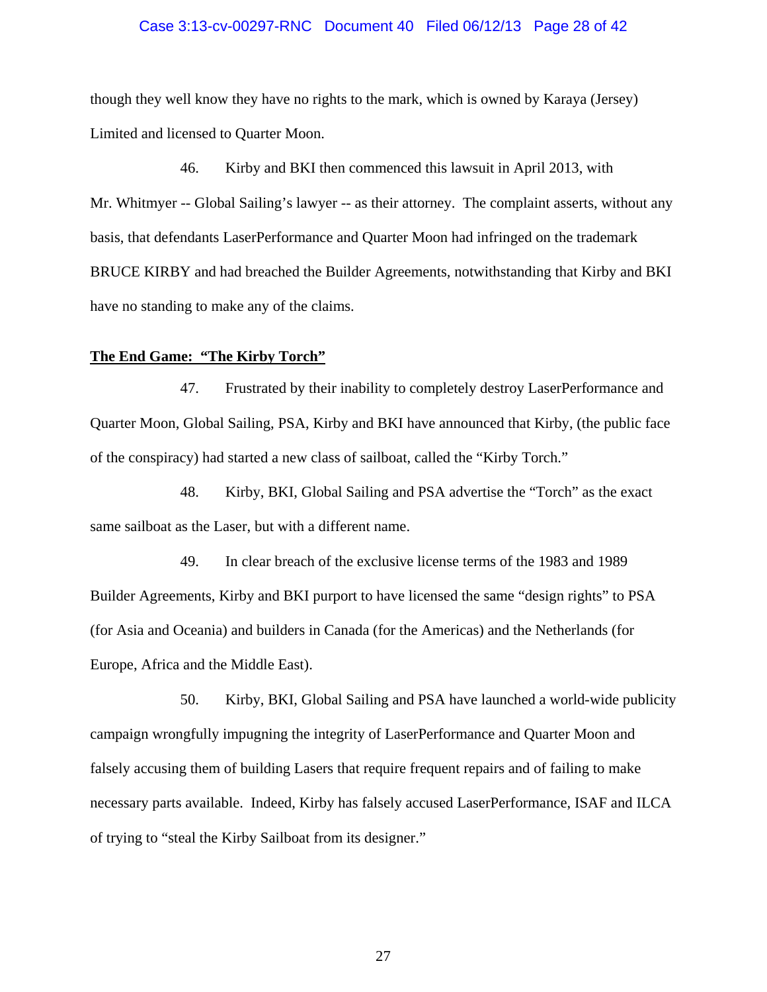#### Case 3:13-cv-00297-RNC Document 40 Filed 06/12/13 Page 28 of 42

though they well know they have no rights to the mark, which is owned by Karaya (Jersey) Limited and licensed to Quarter Moon.

46. Kirby and BKI then commenced this lawsuit in April 2013, with Mr. Whitmyer -- Global Sailing's lawyer -- as their attorney. The complaint asserts, without any basis, that defendants LaserPerformance and Quarter Moon had infringed on the trademark BRUCE KIRBY and had breached the Builder Agreements, notwithstanding that Kirby and BKI have no standing to make any of the claims.

#### **The End Game: "The Kirby Torch"**

47. Frustrated by their inability to completely destroy LaserPerformance and Quarter Moon, Global Sailing, PSA, Kirby and BKI have announced that Kirby, (the public face of the conspiracy) had started a new class of sailboat, called the "Kirby Torch."

48. Kirby, BKI, Global Sailing and PSA advertise the "Torch" as the exact same sailboat as the Laser, but with a different name.

49. In clear breach of the exclusive license terms of the 1983 and 1989 Builder Agreements, Kirby and BKI purport to have licensed the same "design rights" to PSA (for Asia and Oceania) and builders in Canada (for the Americas) and the Netherlands (for Europe, Africa and the Middle East).

50. Kirby, BKI, Global Sailing and PSA have launched a world-wide publicity campaign wrongfully impugning the integrity of LaserPerformance and Quarter Moon and falsely accusing them of building Lasers that require frequent repairs and of failing to make necessary parts available. Indeed, Kirby has falsely accused LaserPerformance, ISAF and ILCA of trying to "steal the Kirby Sailboat from its designer."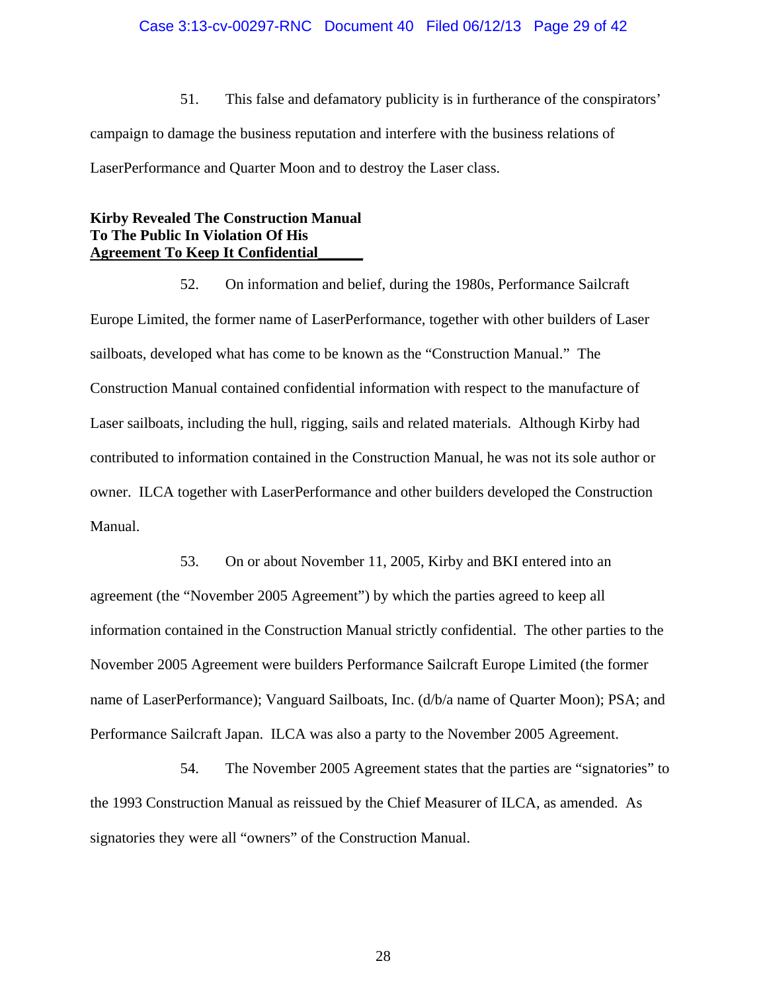## Case 3:13-cv-00297-RNC Document 40 Filed 06/12/13 Page 29 of 42

51. This false and defamatory publicity is in furtherance of the conspirators' campaign to damage the business reputation and interfere with the business relations of LaserPerformance and Quarter Moon and to destroy the Laser class.

# **Kirby Revealed The Construction Manual To The Public In Violation Of His Agreement To Keep It Confidential\_\_\_\_\_\_**

52. On information and belief, during the 1980s, Performance Sailcraft Europe Limited, the former name of LaserPerformance, together with other builders of Laser sailboats, developed what has come to be known as the "Construction Manual." The Construction Manual contained confidential information with respect to the manufacture of Laser sailboats, including the hull, rigging, sails and related materials. Although Kirby had contributed to information contained in the Construction Manual, he was not its sole author or owner. ILCA together with LaserPerformance and other builders developed the Construction Manual.

53. On or about November 11, 2005, Kirby and BKI entered into an agreement (the "November 2005 Agreement") by which the parties agreed to keep all information contained in the Construction Manual strictly confidential. The other parties to the November 2005 Agreement were builders Performance Sailcraft Europe Limited (the former name of LaserPerformance); Vanguard Sailboats, Inc. (d/b/a name of Quarter Moon); PSA; and Performance Sailcraft Japan. ILCA was also a party to the November 2005 Agreement.

54. The November 2005 Agreement states that the parties are "signatories" to the 1993 Construction Manual as reissued by the Chief Measurer of ILCA, as amended. As signatories they were all "owners" of the Construction Manual.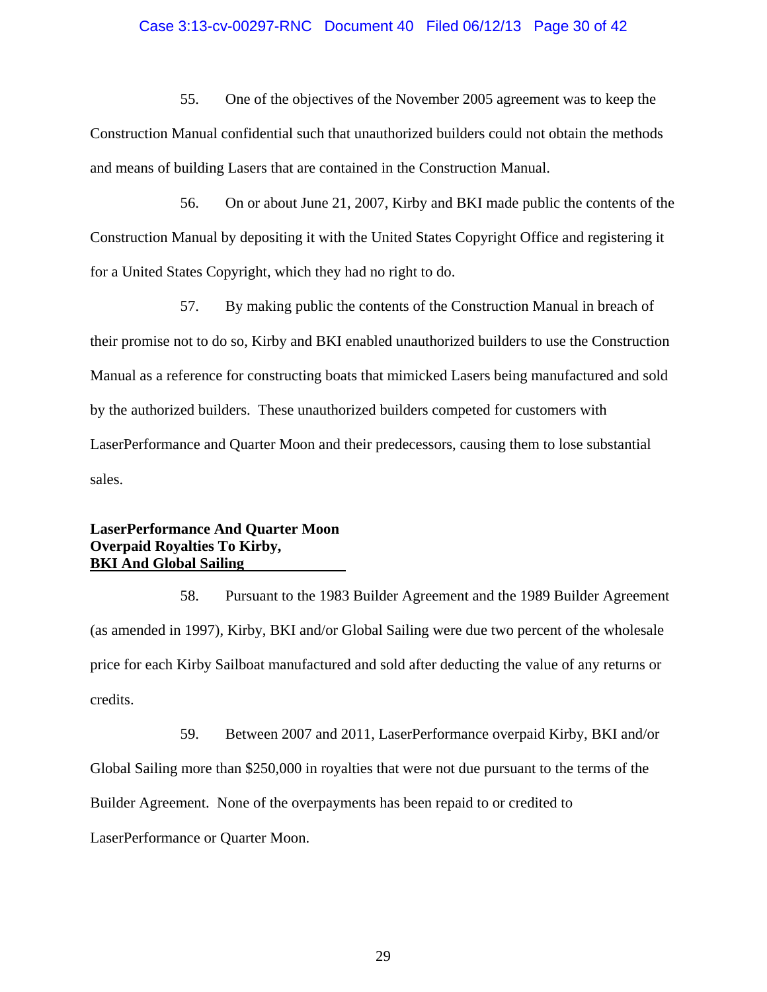## Case 3:13-cv-00297-RNC Document 40 Filed 06/12/13 Page 30 of 42

55. One of the objectives of the November 2005 agreement was to keep the Construction Manual confidential such that unauthorized builders could not obtain the methods and means of building Lasers that are contained in the Construction Manual.

56. On or about June 21, 2007, Kirby and BKI made public the contents of the Construction Manual by depositing it with the United States Copyright Office and registering it for a United States Copyright, which they had no right to do.

57. By making public the contents of the Construction Manual in breach of their promise not to do so, Kirby and BKI enabled unauthorized builders to use the Construction Manual as a reference for constructing boats that mimicked Lasers being manufactured and sold by the authorized builders. These unauthorized builders competed for customers with LaserPerformance and Quarter Moon and their predecessors, causing them to lose substantial sales.

## **LaserPerformance And Quarter Moon Overpaid Royalties To Kirby, BKI And Global Sailing**

58. Pursuant to the 1983 Builder Agreement and the 1989 Builder Agreement (as amended in 1997), Kirby, BKI and/or Global Sailing were due two percent of the wholesale price for each Kirby Sailboat manufactured and sold after deducting the value of any returns or credits.

59. Between 2007 and 2011, LaserPerformance overpaid Kirby, BKI and/or Global Sailing more than \$250,000 in royalties that were not due pursuant to the terms of the Builder Agreement. None of the overpayments has been repaid to or credited to LaserPerformance or Quarter Moon.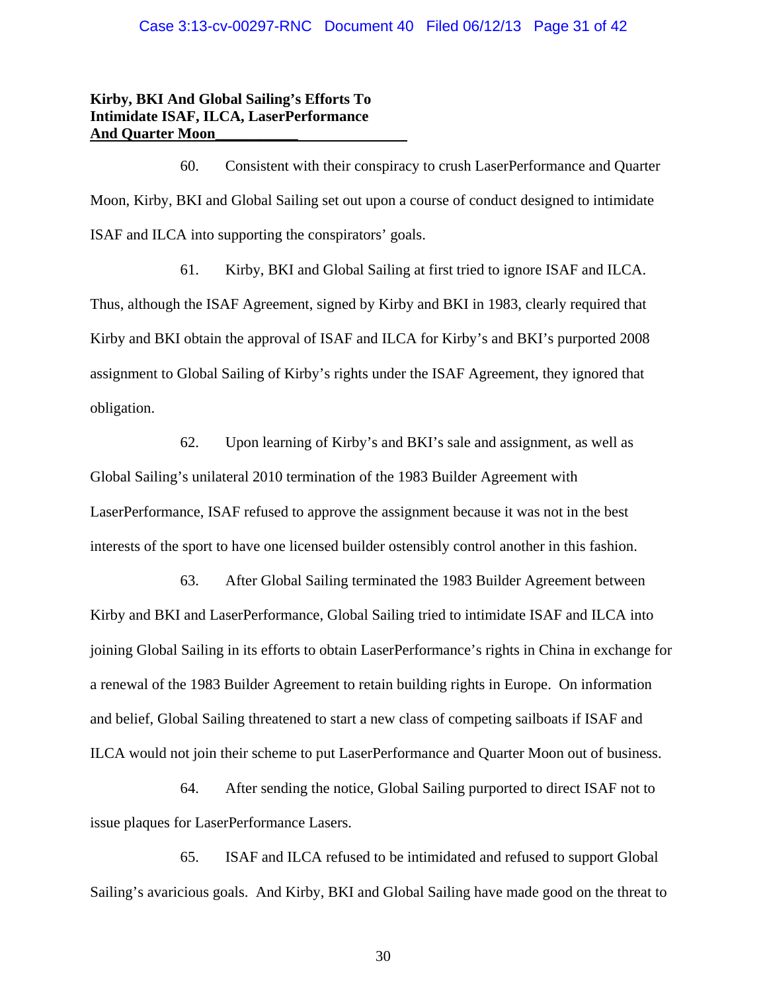#### Case 3:13-cv-00297-RNC Document 40 Filed 06/12/13 Page 31 of 42

# **Kirby, BKI And Global Sailing's Efforts To Intimidate ISAF, ILCA, LaserPerformance And Quarter Moon\_\_\_\_\_\_\_\_\_\_\_**

60. Consistent with their conspiracy to crush LaserPerformance and Quarter Moon, Kirby, BKI and Global Sailing set out upon a course of conduct designed to intimidate ISAF and ILCA into supporting the conspirators' goals.

61. Kirby, BKI and Global Sailing at first tried to ignore ISAF and ILCA. Thus, although the ISAF Agreement, signed by Kirby and BKI in 1983, clearly required that Kirby and BKI obtain the approval of ISAF and ILCA for Kirby's and BKI's purported 2008 assignment to Global Sailing of Kirby's rights under the ISAF Agreement, they ignored that obligation.

62. Upon learning of Kirby's and BKI's sale and assignment, as well as Global Sailing's unilateral 2010 termination of the 1983 Builder Agreement with LaserPerformance, ISAF refused to approve the assignment because it was not in the best interests of the sport to have one licensed builder ostensibly control another in this fashion.

63. After Global Sailing terminated the 1983 Builder Agreement between Kirby and BKI and LaserPerformance, Global Sailing tried to intimidate ISAF and ILCA into joining Global Sailing in its efforts to obtain LaserPerformance's rights in China in exchange for a renewal of the 1983 Builder Agreement to retain building rights in Europe. On information and belief, Global Sailing threatened to start a new class of competing sailboats if ISAF and ILCA would not join their scheme to put LaserPerformance and Quarter Moon out of business.

64. After sending the notice, Global Sailing purported to direct ISAF not to issue plaques for LaserPerformance Lasers.

65. ISAF and ILCA refused to be intimidated and refused to support Global Sailing's avaricious goals. And Kirby, BKI and Global Sailing have made good on the threat to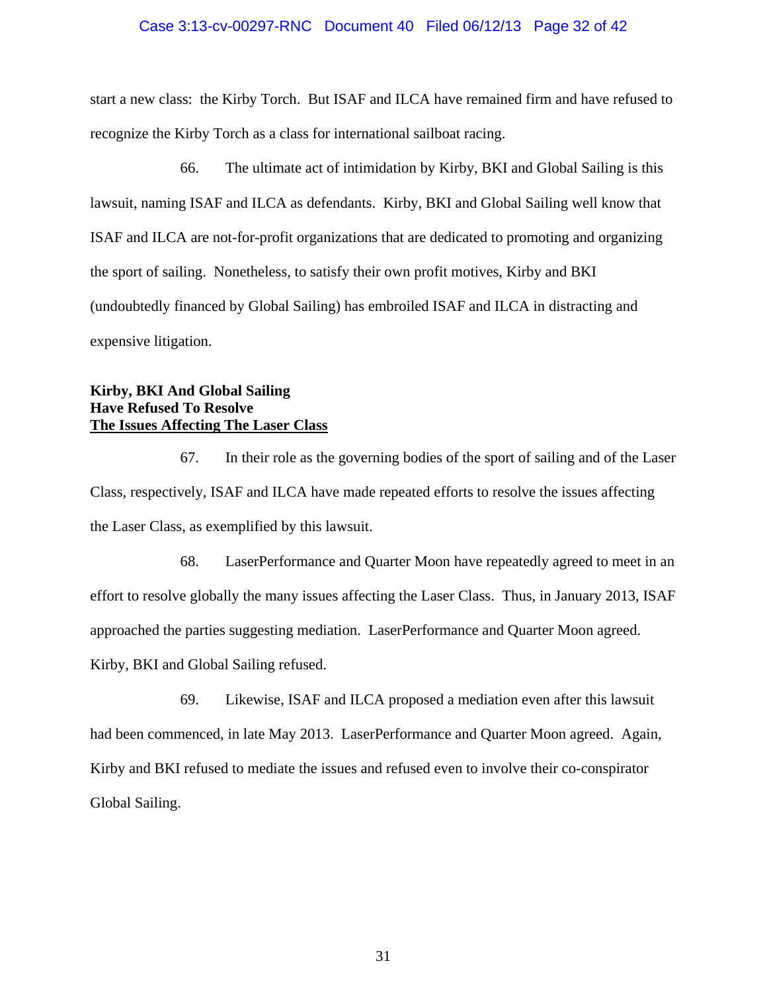## Case 3:13-cv-00297-RNC Document 40 Filed 06/12/13 Page 32 of 42

start a new class: the Kirby Torch. But ISAF and ILCA have remained firm and have refused to recognize the Kirby Torch as a class for international sailboat racing.

66. The ultimate act of intimidation by Kirby, BKI and Global Sailing is this lawsuit, naming ISAF and ILCA as defendants. Kirby, BKI and Global Sailing well know that ISAF and ILCA are not-for-profit organizations that are dedicated to promoting and organizing the sport of sailing. Nonetheless, to satisfy their own profit motives, Kirby and BKI (undoubtedly financed by Global Sailing) has embroiled ISAF and ILCA in distracting and expensive litigation.

# **Kirby, BKI And Global Sailing Have Refused To Resolve The Issues Affecting The Laser Class**

67. In their role as the governing bodies of the sport of sailing and of the Laser Class, respectively, ISAF and ILCA have made repeated efforts to resolve the issues affecting the Laser Class, as exemplified by this lawsuit.

68. LaserPerformance and Quarter Moon have repeatedly agreed to meet in an effort to resolve globally the many issues affecting the Laser Class. Thus, in January 2013, ISAF approached the parties suggesting mediation. LaserPerformance and Quarter Moon agreed. Kirby, BKI and Global Sailing refused.

69. Likewise, ISAF and ILCA proposed a mediation even after this lawsuit had been commenced, in late May 2013. LaserPerformance and Quarter Moon agreed. Again, Kirby and BKI refused to mediate the issues and refused even to involve their co-conspirator Global Sailing.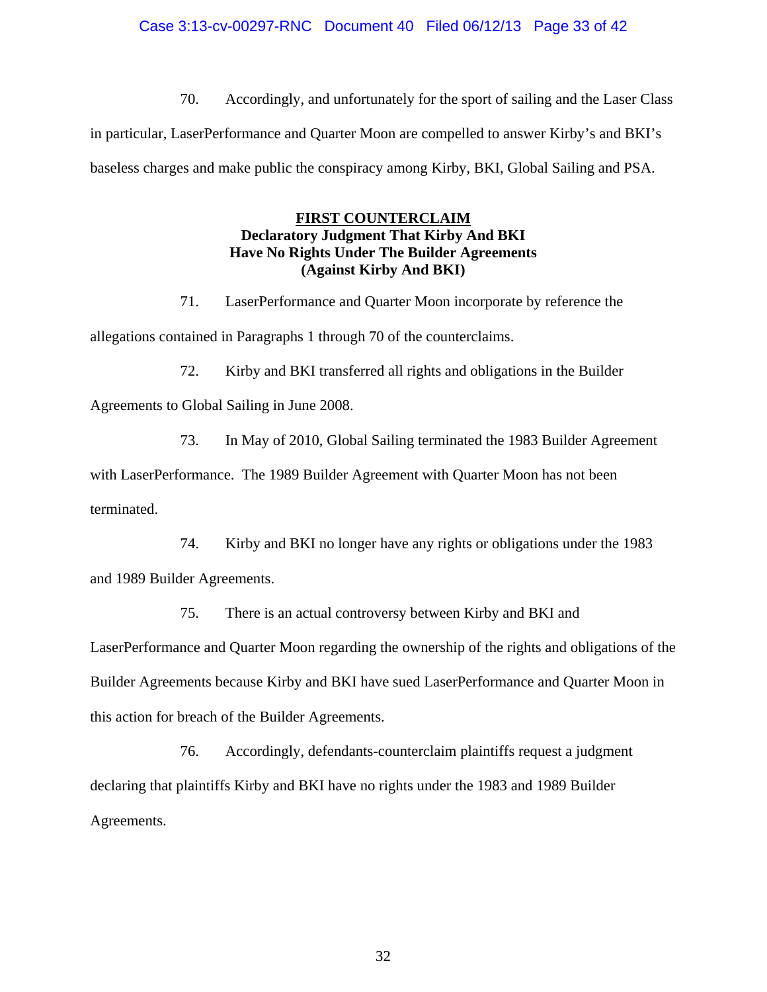## Case 3:13-cv-00297-RNC Document 40 Filed 06/12/13 Page 33 of 42

70. Accordingly, and unfortunately for the sport of sailing and the Laser Class in particular, LaserPerformance and Quarter Moon are compelled to answer Kirby's and BKI's baseless charges and make public the conspiracy among Kirby, BKI, Global Sailing and PSA.

# **FIRST COUNTERCLAIM Declaratory Judgment That Kirby And BKI Have No Rights Under The Builder Agreements (Against Kirby And BKI)**

71. LaserPerformance and Quarter Moon incorporate by reference the allegations contained in Paragraphs 1 through 70 of the counterclaims.

72. Kirby and BKI transferred all rights and obligations in the Builder

Agreements to Global Sailing in June 2008.

73. In May of 2010, Global Sailing terminated the 1983 Builder Agreement

with LaserPerformance. The 1989 Builder Agreement with Quarter Moon has not been terminated.

74. Kirby and BKI no longer have any rights or obligations under the 1983 and 1989 Builder Agreements.

75. There is an actual controversy between Kirby and BKI and

LaserPerformance and Quarter Moon regarding the ownership of the rights and obligations of the Builder Agreements because Kirby and BKI have sued LaserPerformance and Quarter Moon in this action for breach of the Builder Agreements.

76. Accordingly, defendants-counterclaim plaintiffs request a judgment declaring that plaintiffs Kirby and BKI have no rights under the 1983 and 1989 Builder Agreements.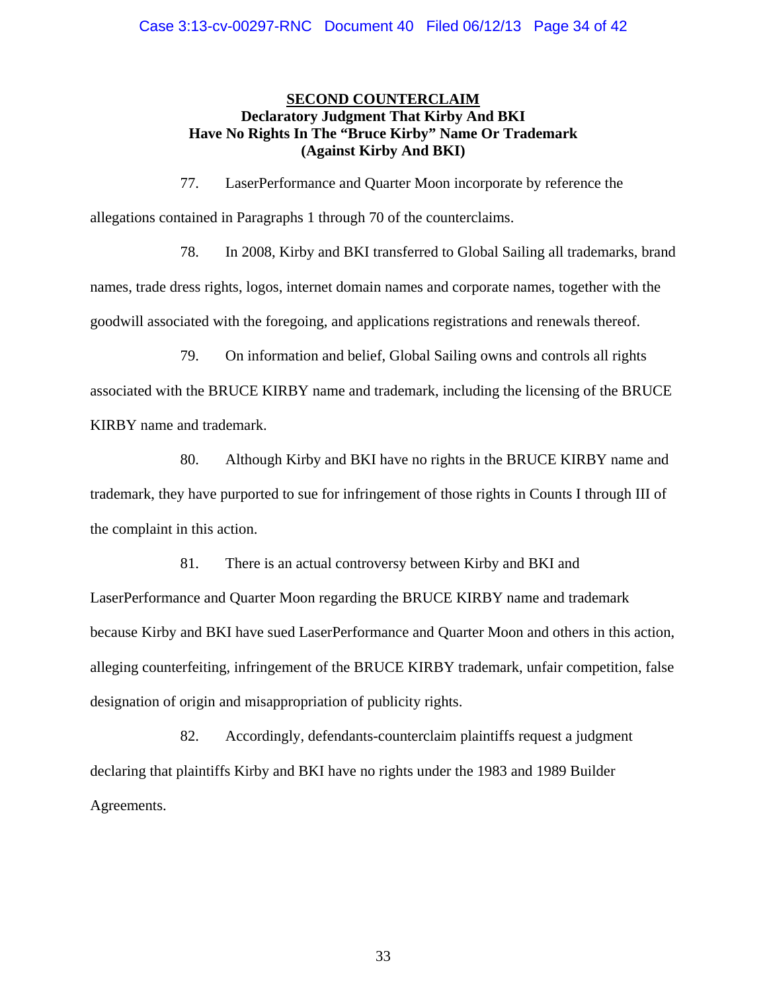# **SECOND COUNTERCLAIM Declaratory Judgment That Kirby And BKI Have No Rights In The "Bruce Kirby" Name Or Trademark (Against Kirby And BKI)**

77. LaserPerformance and Quarter Moon incorporate by reference the allegations contained in Paragraphs 1 through 70 of the counterclaims.

78. In 2008, Kirby and BKI transferred to Global Sailing all trademarks, brand names, trade dress rights, logos, internet domain names and corporate names, together with the goodwill associated with the foregoing, and applications registrations and renewals thereof.

79. On information and belief, Global Sailing owns and controls all rights associated with the BRUCE KIRBY name and trademark, including the licensing of the BRUCE KIRBY name and trademark.

80. Although Kirby and BKI have no rights in the BRUCE KIRBY name and trademark, they have purported to sue for infringement of those rights in Counts I through III of the complaint in this action.

81. There is an actual controversy between Kirby and BKI and LaserPerformance and Quarter Moon regarding the BRUCE KIRBY name and trademark because Kirby and BKI have sued LaserPerformance and Quarter Moon and others in this action, alleging counterfeiting, infringement of the BRUCE KIRBY trademark, unfair competition, false designation of origin and misappropriation of publicity rights.

82. Accordingly, defendants-counterclaim plaintiffs request a judgment declaring that plaintiffs Kirby and BKI have no rights under the 1983 and 1989 Builder Agreements.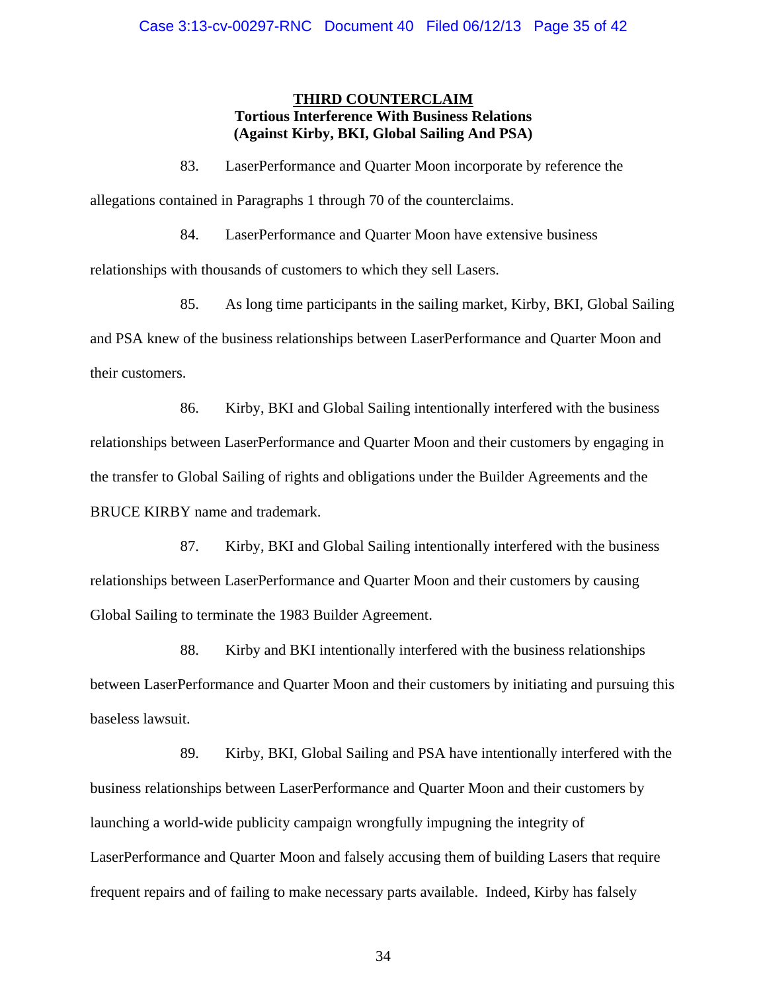# **THIRD COUNTERCLAIM Tortious Interference With Business Relations (Against Kirby, BKI, Global Sailing And PSA)**

83. LaserPerformance and Quarter Moon incorporate by reference the

allegations contained in Paragraphs 1 through 70 of the counterclaims.

84. LaserPerformance and Quarter Moon have extensive business

relationships with thousands of customers to which they sell Lasers.

85. As long time participants in the sailing market, Kirby, BKI, Global Sailing and PSA knew of the business relationships between LaserPerformance and Quarter Moon and their customers.

86. Kirby, BKI and Global Sailing intentionally interfered with the business relationships between LaserPerformance and Quarter Moon and their customers by engaging in the transfer to Global Sailing of rights and obligations under the Builder Agreements and the BRUCE KIRBY name and trademark.

87. Kirby, BKI and Global Sailing intentionally interfered with the business relationships between LaserPerformance and Quarter Moon and their customers by causing Global Sailing to terminate the 1983 Builder Agreement.

88. Kirby and BKI intentionally interfered with the business relationships between LaserPerformance and Quarter Moon and their customers by initiating and pursuing this baseless lawsuit.

89. Kirby, BKI, Global Sailing and PSA have intentionally interfered with the business relationships between LaserPerformance and Quarter Moon and their customers by launching a world-wide publicity campaign wrongfully impugning the integrity of LaserPerformance and Quarter Moon and falsely accusing them of building Lasers that require frequent repairs and of failing to make necessary parts available. Indeed, Kirby has falsely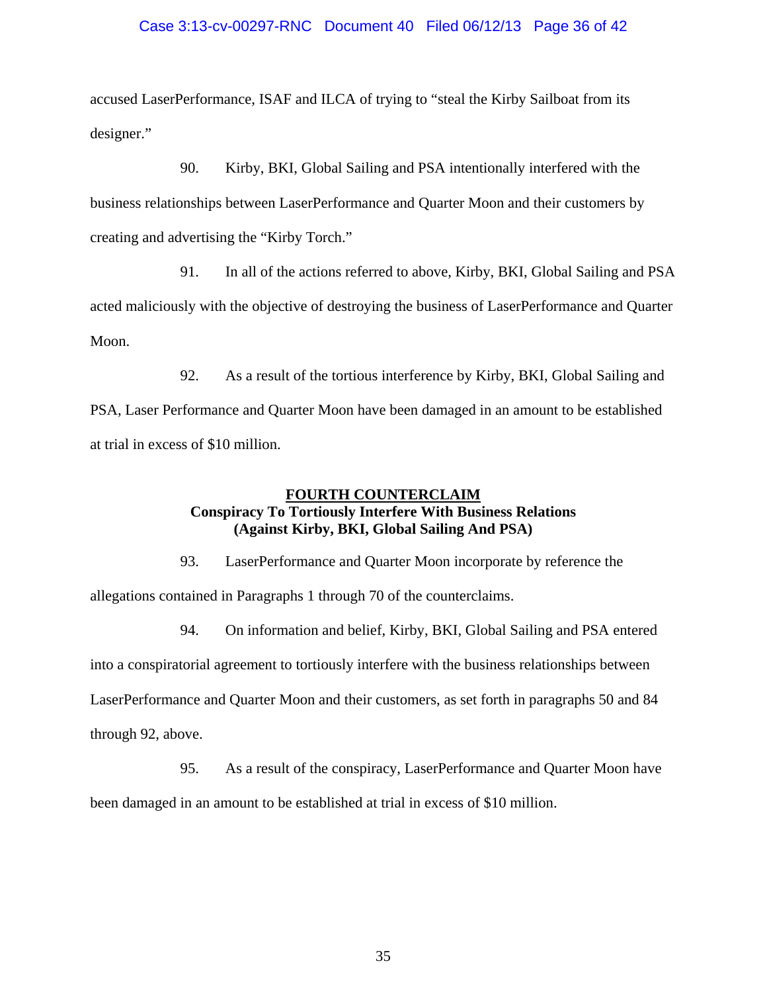# Case 3:13-cv-00297-RNC Document 40 Filed 06/12/13 Page 36 of 42

accused LaserPerformance, ISAF and ILCA of trying to "steal the Kirby Sailboat from its designer."

90. Kirby, BKI, Global Sailing and PSA intentionally interfered with the business relationships between LaserPerformance and Quarter Moon and their customers by creating and advertising the "Kirby Torch."

91. In all of the actions referred to above, Kirby, BKI, Global Sailing and PSA acted maliciously with the objective of destroying the business of LaserPerformance and Quarter Moon.

92. As a result of the tortious interference by Kirby, BKI, Global Sailing and PSA, Laser Performance and Quarter Moon have been damaged in an amount to be established at trial in excess of \$10 million.

# **FOURTH COUNTERCLAIM Conspiracy To Tortiously Interfere With Business Relations (Against Kirby, BKI, Global Sailing And PSA)**

93. LaserPerformance and Quarter Moon incorporate by reference the allegations contained in Paragraphs 1 through 70 of the counterclaims.

94. On information and belief, Kirby, BKI, Global Sailing and PSA entered into a conspiratorial agreement to tortiously interfere with the business relationships between LaserPerformance and Quarter Moon and their customers, as set forth in paragraphs 50 and 84 through 92, above.

95. As a result of the conspiracy, LaserPerformance and Quarter Moon have

been damaged in an amount to be established at trial in excess of \$10 million.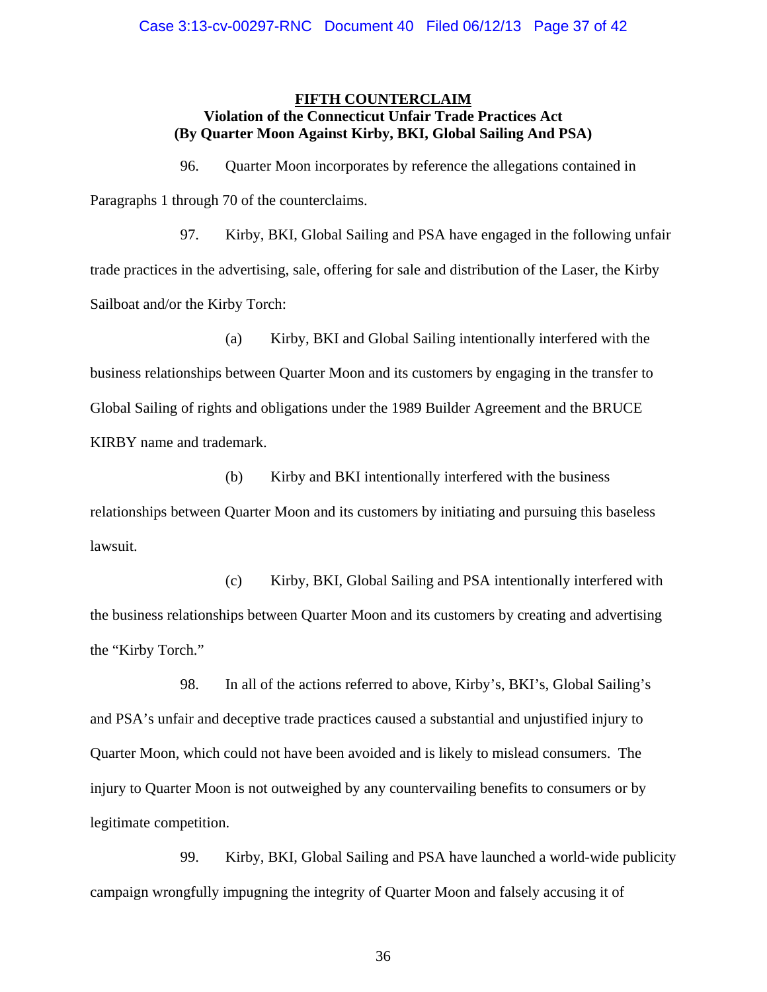## **FIFTH COUNTERCLAIM Violation of the Connecticut Unfair Trade Practices Act (By Quarter Moon Against Kirby, BKI, Global Sailing And PSA)**

96. Quarter Moon incorporates by reference the allegations contained in Paragraphs 1 through 70 of the counterclaims.

97. Kirby, BKI, Global Sailing and PSA have engaged in the following unfair trade practices in the advertising, sale, offering for sale and distribution of the Laser, the Kirby Sailboat and/or the Kirby Torch:

(a) Kirby, BKI and Global Sailing intentionally interfered with the business relationships between Quarter Moon and its customers by engaging in the transfer to Global Sailing of rights and obligations under the 1989 Builder Agreement and the BRUCE KIRBY name and trademark.

(b) Kirby and BKI intentionally interfered with the business relationships between Quarter Moon and its customers by initiating and pursuing this baseless lawsuit.

(c) Kirby, BKI, Global Sailing and PSA intentionally interfered with the business relationships between Quarter Moon and its customers by creating and advertising the "Kirby Torch."

98. In all of the actions referred to above, Kirby's, BKI's, Global Sailing's and PSA's unfair and deceptive trade practices caused a substantial and unjustified injury to Quarter Moon, which could not have been avoided and is likely to mislead consumers. The injury to Quarter Moon is not outweighed by any countervailing benefits to consumers or by legitimate competition.

99. Kirby, BKI, Global Sailing and PSA have launched a world-wide publicity campaign wrongfully impugning the integrity of Quarter Moon and falsely accusing it of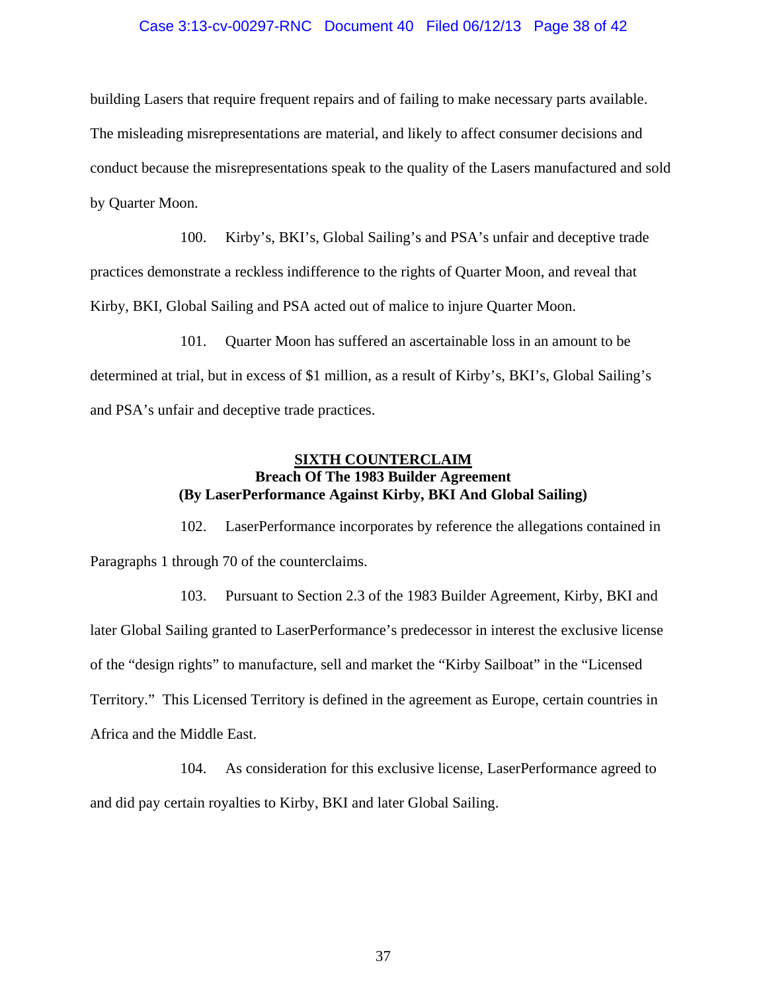### Case 3:13-cv-00297-RNC Document 40 Filed 06/12/13 Page 38 of 42

building Lasers that require frequent repairs and of failing to make necessary parts available. The misleading misrepresentations are material, and likely to affect consumer decisions and conduct because the misrepresentations speak to the quality of the Lasers manufactured and sold by Quarter Moon.

100. Kirby's, BKI's, Global Sailing's and PSA's unfair and deceptive trade practices demonstrate a reckless indifference to the rights of Quarter Moon, and reveal that Kirby, BKI, Global Sailing and PSA acted out of malice to injure Quarter Moon.

101. Quarter Moon has suffered an ascertainable loss in an amount to be determined at trial, but in excess of \$1 million, as a result of Kirby's, BKI's, Global Sailing's and PSA's unfair and deceptive trade practices.

# **SIXTH COUNTERCLAIM Breach Of The 1983 Builder Agreement (By LaserPerformance Against Kirby, BKI And Global Sailing)**

102. LaserPerformance incorporates by reference the allegations contained in Paragraphs 1 through 70 of the counterclaims.

103. Pursuant to Section 2.3 of the 1983 Builder Agreement, Kirby, BKI and later Global Sailing granted to LaserPerformance's predecessor in interest the exclusive license of the "design rights" to manufacture, sell and market the "Kirby Sailboat" in the "Licensed Territory." This Licensed Territory is defined in the agreement as Europe, certain countries in Africa and the Middle East.

104. As consideration for this exclusive license, LaserPerformance agreed to and did pay certain royalties to Kirby, BKI and later Global Sailing.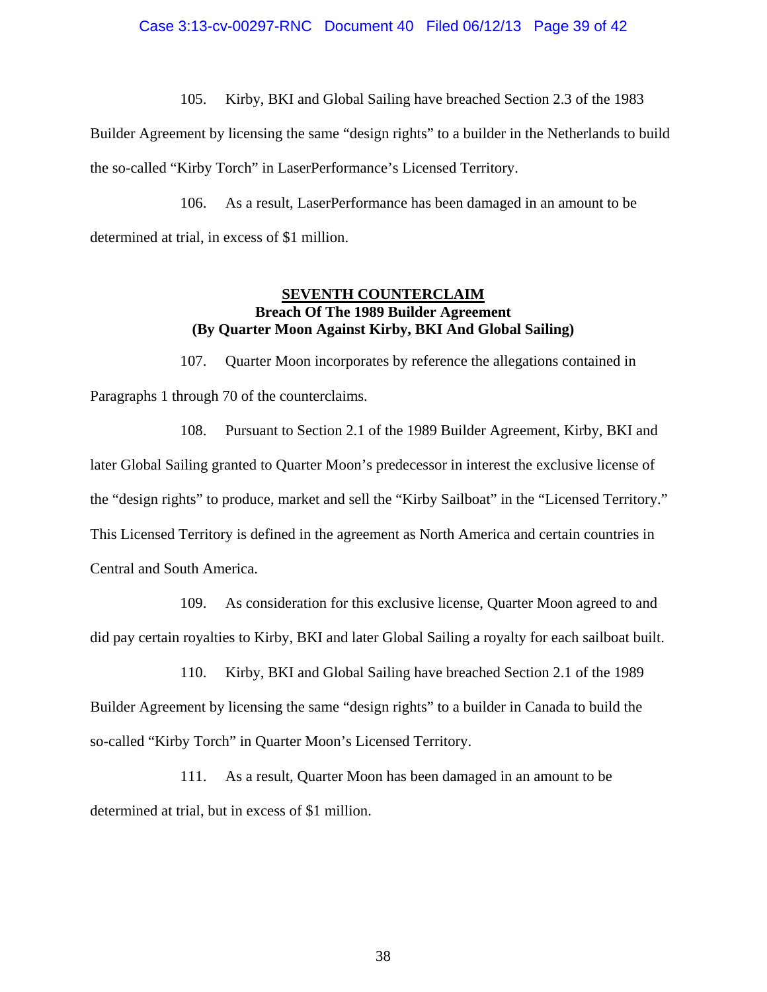105. Kirby, BKI and Global Sailing have breached Section 2.3 of the 1983

Builder Agreement by licensing the same "design rights" to a builder in the Netherlands to build the so-called "Kirby Torch" in LaserPerformance's Licensed Territory.

106. As a result, LaserPerformance has been damaged in an amount to be determined at trial, in excess of \$1 million.

# **SEVENTH COUNTERCLAIM Breach Of The 1989 Builder Agreement (By Quarter Moon Against Kirby, BKI And Global Sailing)**

107. Quarter Moon incorporates by reference the allegations contained in Paragraphs 1 through 70 of the counterclaims.

108. Pursuant to Section 2.1 of the 1989 Builder Agreement, Kirby, BKI and later Global Sailing granted to Quarter Moon's predecessor in interest the exclusive license of the "design rights" to produce, market and sell the "Kirby Sailboat" in the "Licensed Territory." This Licensed Territory is defined in the agreement as North America and certain countries in Central and South America.

109. As consideration for this exclusive license, Quarter Moon agreed to and did pay certain royalties to Kirby, BKI and later Global Sailing a royalty for each sailboat built.

110. Kirby, BKI and Global Sailing have breached Section 2.1 of the 1989 Builder Agreement by licensing the same "design rights" to a builder in Canada to build the so-called "Kirby Torch" in Quarter Moon's Licensed Territory.

111. As a result, Quarter Moon has been damaged in an amount to be determined at trial, but in excess of \$1 million.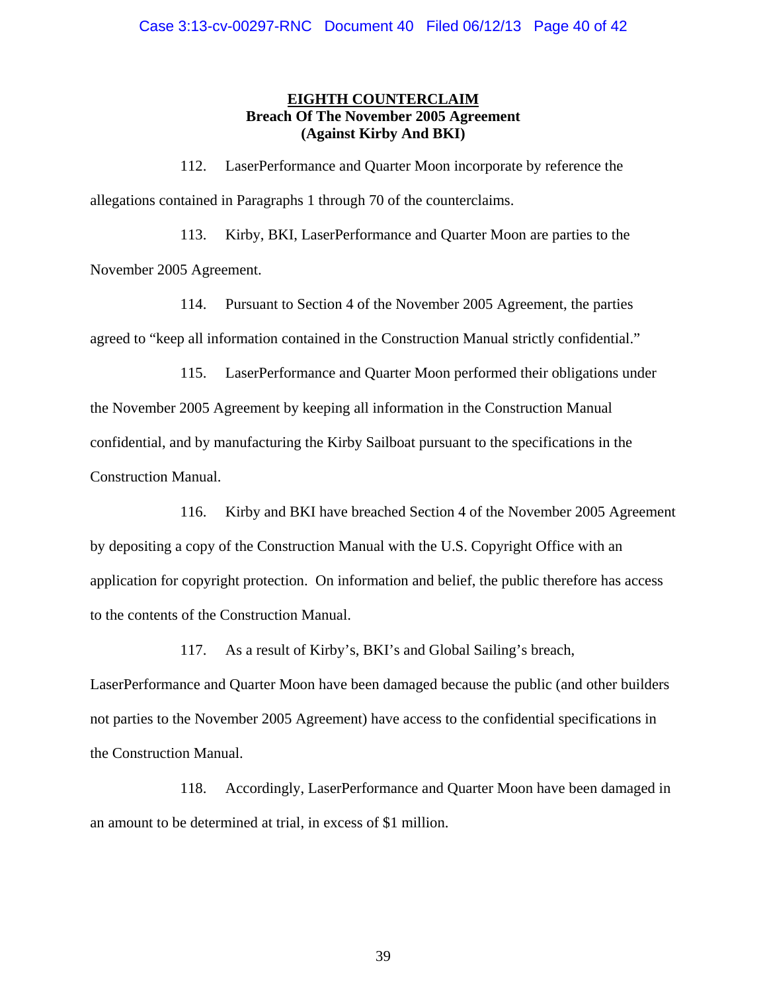# **EIGHTH COUNTERCLAIM Breach Of The November 2005 Agreement (Against Kirby And BKI)**

112. LaserPerformance and Quarter Moon incorporate by reference the allegations contained in Paragraphs 1 through 70 of the counterclaims.

113. Kirby, BKI, LaserPerformance and Quarter Moon are parties to the November 2005 Agreement.

114. Pursuant to Section 4 of the November 2005 Agreement, the parties agreed to "keep all information contained in the Construction Manual strictly confidential."

115. LaserPerformance and Quarter Moon performed their obligations under the November 2005 Agreement by keeping all information in the Construction Manual confidential, and by manufacturing the Kirby Sailboat pursuant to the specifications in the Construction Manual.

116. Kirby and BKI have breached Section 4 of the November 2005 Agreement by depositing a copy of the Construction Manual with the U.S. Copyright Office with an application for copyright protection. On information and belief, the public therefore has access to the contents of the Construction Manual.

117. As a result of Kirby's, BKI's and Global Sailing's breach,

LaserPerformance and Quarter Moon have been damaged because the public (and other builders not parties to the November 2005 Agreement) have access to the confidential specifications in the Construction Manual.

118. Accordingly, LaserPerformance and Quarter Moon have been damaged in an amount to be determined at trial, in excess of \$1 million.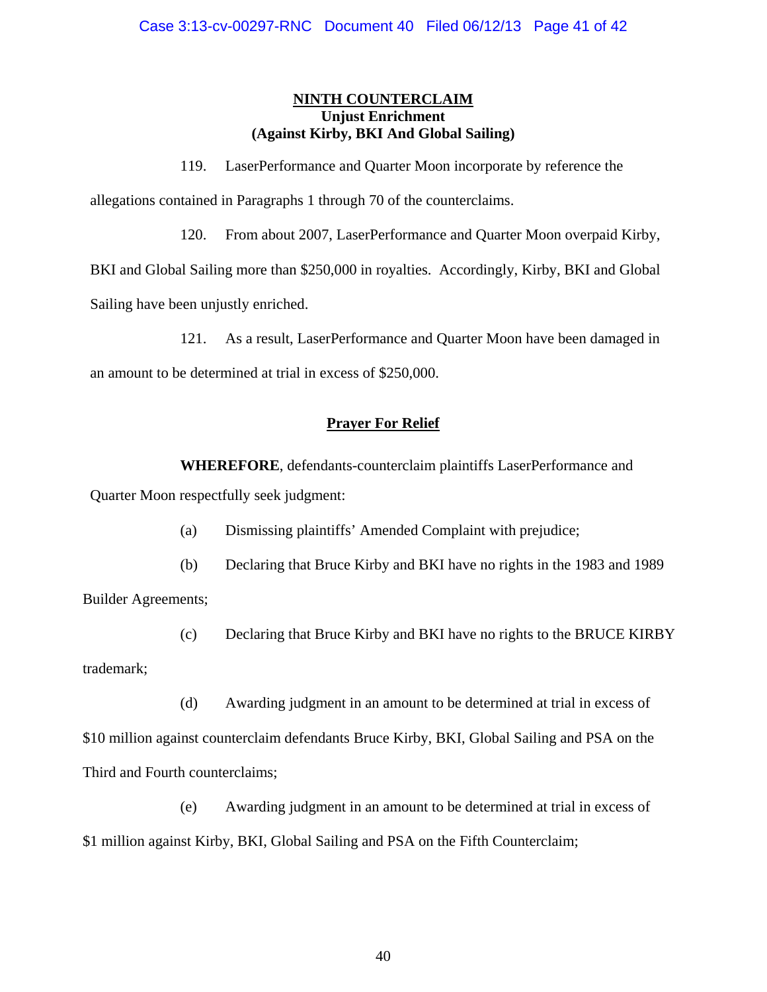# **NINTH COUNTERCLAIM Unjust Enrichment (Against Kirby, BKI And Global Sailing)**

119. LaserPerformance and Quarter Moon incorporate by reference the

allegations contained in Paragraphs 1 through 70 of the counterclaims.

120. From about 2007, LaserPerformance and Quarter Moon overpaid Kirby,

BKI and Global Sailing more than \$250,000 in royalties. Accordingly, Kirby, BKI and Global

Sailing have been unjustly enriched.

121. As a result, LaserPerformance and Quarter Moon have been damaged in

an amount to be determined at trial in excess of \$250,000.

# **Prayer For Relief**

**WHEREFORE**, defendants-counterclaim plaintiffs LaserPerformance and Quarter Moon respectfully seek judgment:

(a) Dismissing plaintiffs' Amended Complaint with prejudice;

(b) Declaring that Bruce Kirby and BKI have no rights in the 1983 and 1989 Builder Agreements;

(c) Declaring that Bruce Kirby and BKI have no rights to the BRUCE KIRBY trademark;

(d) Awarding judgment in an amount to be determined at trial in excess of \$10 million against counterclaim defendants Bruce Kirby, BKI, Global Sailing and PSA on the Third and Fourth counterclaims;

(e) Awarding judgment in an amount to be determined at trial in excess of \$1 million against Kirby, BKI, Global Sailing and PSA on the Fifth Counterclaim;